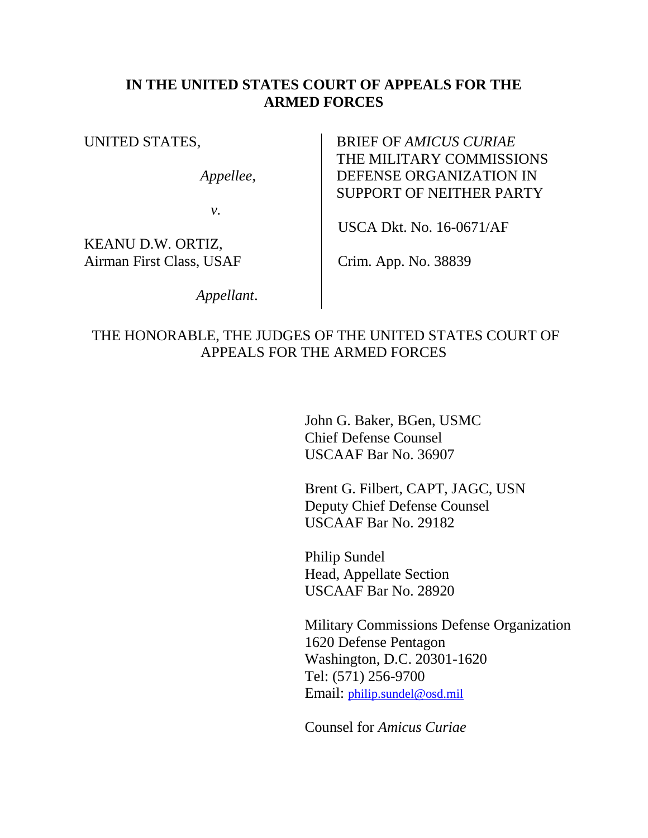#### **IN THE UNITED STATES COURT OF APPEALS FOR THE ARMED FORCES**

UNITED STATES,

*Appellee*,

*v.*

KEANU D.W. ORTIZ, Airman First Class, USAF

 *Appellant*.

BRIEF OF *AMICUS CURIAE*  THE MILITARY COMMISSIONS DEFENSE ORGANIZATION IN SUPPORT OF NEITHER PARTY

USCA Dkt. No. 16-0671/AF

Crim. App. No. 38839

### THE HONORABLE, THE JUDGES OF THE UNITED STATES COURT OF APPEALS FOR THE ARMED FORCES

John G. Baker, BGen, USMC Chief Defense Counsel USCAAF Bar No. 36907

Brent G. Filbert, CAPT, JAGC, USN Deputy Chief Defense Counsel USCAAF Bar No. 29182

Philip Sundel Head, Appellate Section USCAAF Bar No. 28920

Military Commissions Defense Organization 1620 Defense Pentagon Washington, D.C. 20301-1620 Tel: (571) 256-9700 Email: [philip.sundel@osd.mil](mailto:philip.sundel@osd.mil)

Counsel for *Amicus Curiae*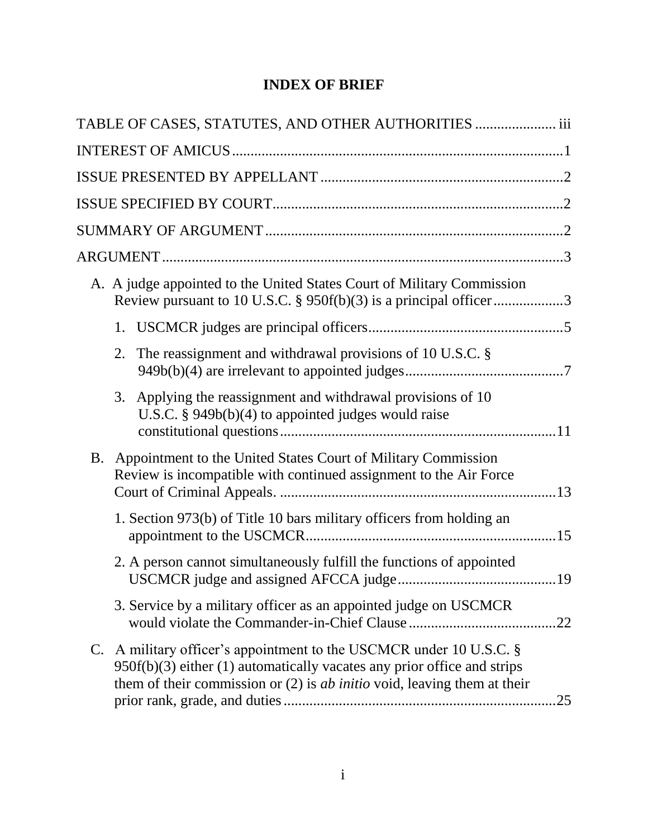## **INDEX OF BRIEF**

| TABLE OF CASES, STATUTES, AND OTHER AUTHORITIES  iii                                                                                                                                                                                  |     |
|---------------------------------------------------------------------------------------------------------------------------------------------------------------------------------------------------------------------------------------|-----|
|                                                                                                                                                                                                                                       |     |
|                                                                                                                                                                                                                                       |     |
|                                                                                                                                                                                                                                       |     |
|                                                                                                                                                                                                                                       |     |
|                                                                                                                                                                                                                                       |     |
| A. A judge appointed to the United States Court of Military Commission<br>Review pursuant to 10 U.S.C. § 950f(b)(3) is a principal officer 3                                                                                          |     |
|                                                                                                                                                                                                                                       |     |
| The reassignment and withdrawal provisions of 10 U.S.C. §<br>2.                                                                                                                                                                       |     |
| Applying the reassignment and withdrawal provisions of 10<br>3.<br>U.S.C. $§$ 949 $b(b)(4)$ to appointed judges would raise                                                                                                           |     |
| B. Appointment to the United States Court of Military Commission<br>Review is incompatible with continued assignment to the Air Force                                                                                                 |     |
| 1. Section 973(b) of Title 10 bars military officers from holding an                                                                                                                                                                  |     |
| 2. A person cannot simultaneously fulfill the functions of appointed                                                                                                                                                                  |     |
| 3. Service by a military officer as an appointed judge on USCMCR                                                                                                                                                                      | .22 |
| C. A military officer's appointment to the USCMCR under 10 U.S.C. §<br>$950f(b)(3)$ either (1) automatically vacates any prior office and strips<br>them of their commission or $(2)$ is <i>ab initio</i> void, leaving them at their | 25  |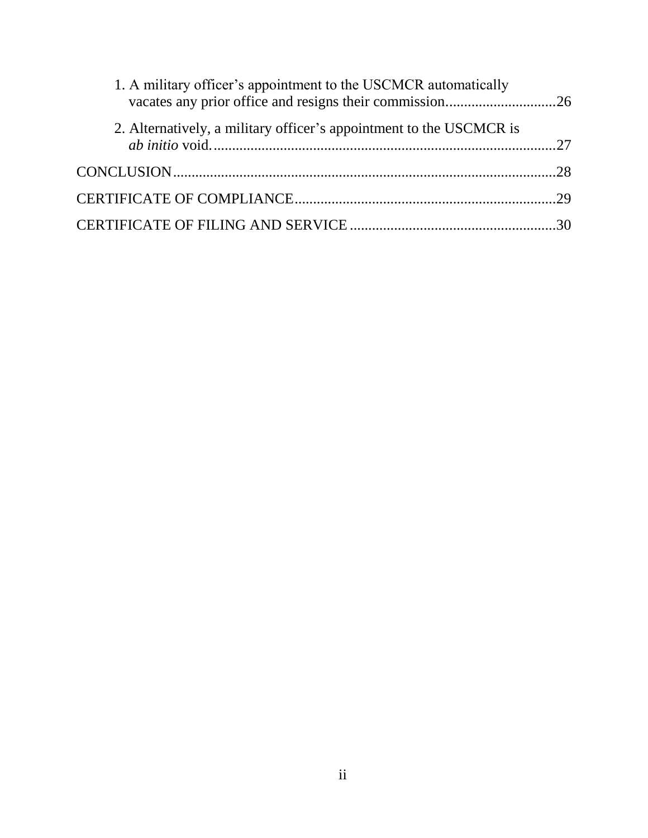| 1. A military officer's appointment to the USCMCR automatically     |  |
|---------------------------------------------------------------------|--|
| 2. Alternatively, a military officer's appointment to the USCMCR is |  |
|                                                                     |  |
|                                                                     |  |
|                                                                     |  |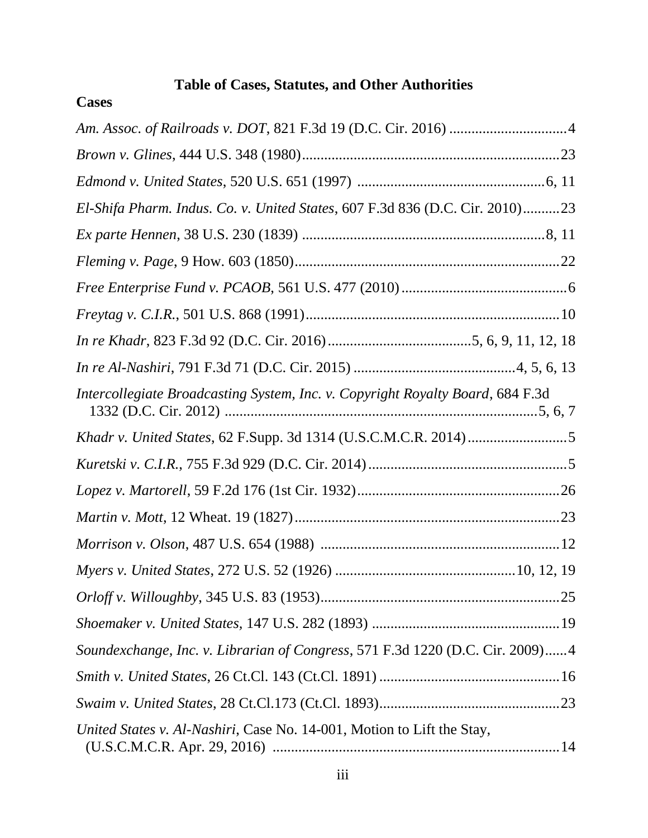# **Table of Cases, Statutes, and Other Authorities**

# **Cases**

| El-Shifa Pharm. Indus. Co. v. United States, 607 F.3d 836 (D.C. Cir. 2010)23   |  |
|--------------------------------------------------------------------------------|--|
|                                                                                |  |
|                                                                                |  |
|                                                                                |  |
|                                                                                |  |
|                                                                                |  |
|                                                                                |  |
| Intercollegiate Broadcasting System, Inc. v. Copyright Royalty Board, 684 F.3d |  |
|                                                                                |  |
|                                                                                |  |
|                                                                                |  |
|                                                                                |  |
|                                                                                |  |
|                                                                                |  |
|                                                                                |  |
|                                                                                |  |
| Soundexchange, Inc. v. Librarian of Congress, 571 F.3d 1220 (D.C. Cir. 2009)4  |  |
|                                                                                |  |
|                                                                                |  |
| United States v. Al-Nashiri, Case No. 14-001, Motion to Lift the Stay,         |  |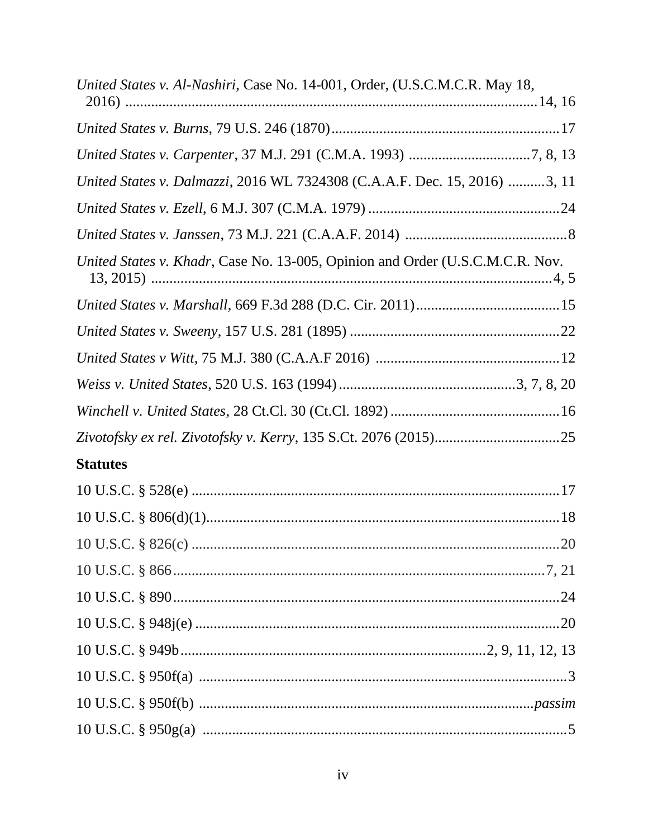| United States v. Al-Nashiri, Case No. 14-001, Order, (U.S.C.M.C.R. May 18,    |  |
|-------------------------------------------------------------------------------|--|
|                                                                               |  |
|                                                                               |  |
|                                                                               |  |
| United States v. Dalmazzi, 2016 WL 7324308 (C.A.A.F. Dec. 15, 2016) 3, 11     |  |
|                                                                               |  |
|                                                                               |  |
| United States v. Khadr, Case No. 13-005, Opinion and Order (U.S.C.M.C.R. Nov. |  |
|                                                                               |  |
|                                                                               |  |
|                                                                               |  |
|                                                                               |  |
|                                                                               |  |
|                                                                               |  |
| <b>Statutes</b>                                                               |  |
|                                                                               |  |
|                                                                               |  |
|                                                                               |  |
|                                                                               |  |
|                                                                               |  |
|                                                                               |  |
|                                                                               |  |
|                                                                               |  |
|                                                                               |  |
|                                                                               |  |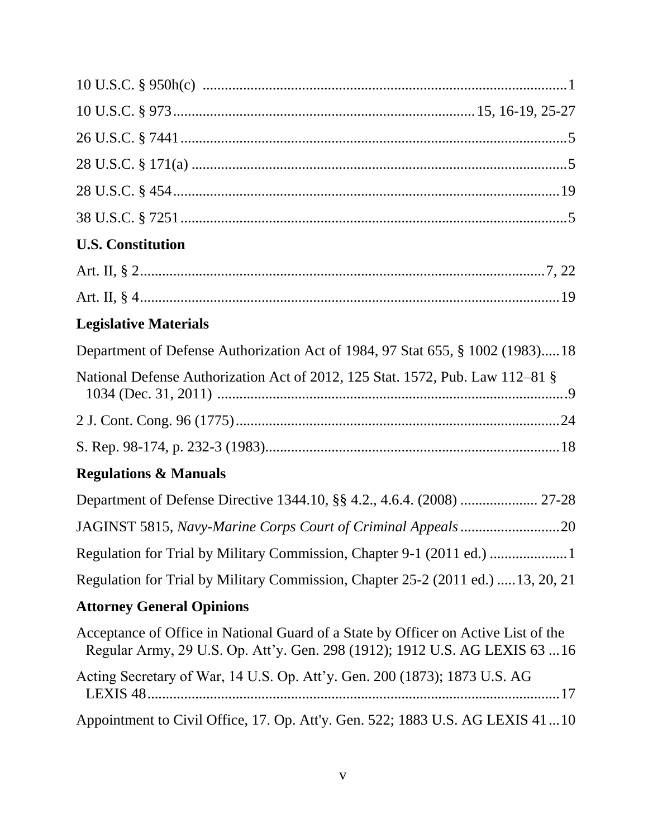| <b>U.S. Constitution</b>                                                                                                                                          |
|-------------------------------------------------------------------------------------------------------------------------------------------------------------------|
|                                                                                                                                                                   |
|                                                                                                                                                                   |
| <b>Legislative Materials</b>                                                                                                                                      |
| Department of Defense Authorization Act of 1984, 97 Stat 655, § 1002 (1983)18                                                                                     |
| National Defense Authorization Act of 2012, 125 Stat. 1572, Pub. Law 112–81 §                                                                                     |
|                                                                                                                                                                   |
|                                                                                                                                                                   |
| <b>Regulations &amp; Manuals</b>                                                                                                                                  |
| Department of Defense Directive 1344.10, §§ 4.2., 4.6.4. (2008)  27-28                                                                                            |
|                                                                                                                                                                   |
|                                                                                                                                                                   |
| Regulation for Trial by Military Commission, Chapter 25-2 (2011 ed.)  13, 20, 21                                                                                  |
| <b>Attorney General Opinions</b>                                                                                                                                  |
| Acceptance of Office in National Guard of a State by Officer on Active List of the<br>Regular Army, 29 U.S. Op. Att'y. Gen. 298 (1912); 1912 U.S. AG LEXIS 63  16 |
| Acting Secretary of War, 14 U.S. Op. Att'y. Gen. 200 (1873); 1873 U.S. AG                                                                                         |
| Appointment to Civil Office, 17. Op. Att'y. Gen. 522; 1883 U.S. AG LEXIS 4110                                                                                     |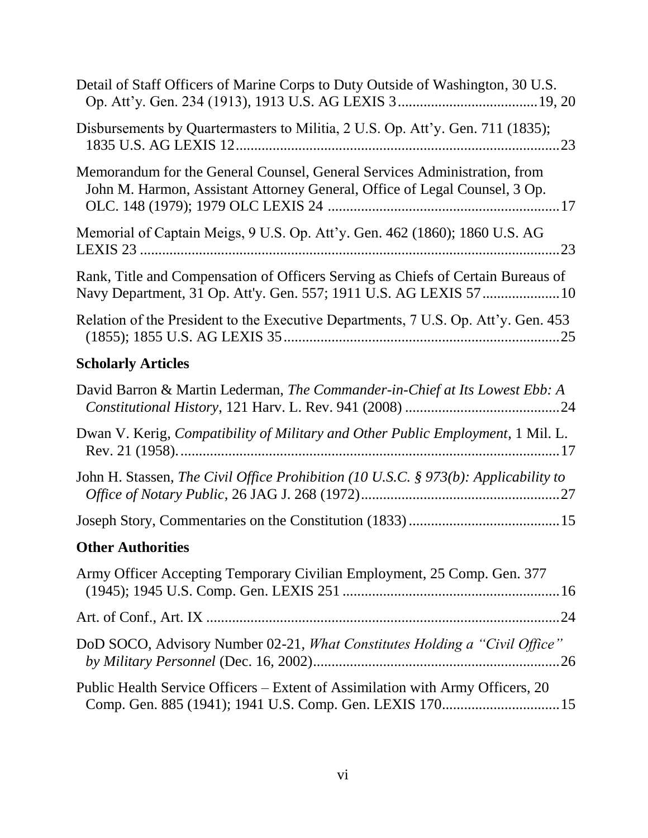| Detail of Staff Officers of Marine Corps to Duty Outside of Washington, 30 U.S.                                                                         |
|---------------------------------------------------------------------------------------------------------------------------------------------------------|
| Disbursements by Quartermasters to Militia, 2 U.S. Op. Att'y. Gen. 711 (1835);                                                                          |
| Memorandum for the General Counsel, General Services Administration, from<br>John M. Harmon, Assistant Attorney General, Office of Legal Counsel, 3 Op. |
| Memorial of Captain Meigs, 9 U.S. Op. Att'y. Gen. 462 (1860); 1860 U.S. AG                                                                              |
| Rank, Title and Compensation of Officers Serving as Chiefs of Certain Bureaus of                                                                        |
| Relation of the President to the Executive Departments, 7 U.S. Op. Att'y. Gen. 453                                                                      |
| <b>Scholarly Articles</b>                                                                                                                               |
| David Barron & Martin Lederman, The Commander-in-Chief at Its Lowest Ebb: A                                                                             |
| Dwan V. Kerig, Compatibility of Military and Other Public Employment, 1 Mil. L.                                                                         |
| John H. Stassen, The Civil Office Prohibition (10 U.S.C. $\S$ 973(b): Applicability to                                                                  |
|                                                                                                                                                         |
| <b>Other Authorities</b>                                                                                                                                |
| Army Officer Accepting Temporary Civilian Employment, 25 Comp. Gen. 377                                                                                 |
|                                                                                                                                                         |
| DoD SOCO, Advisory Number 02-21, What Constitutes Holding a "Civil Office"                                                                              |
| Public Health Service Officers – Extent of Assimilation with Army Officers, 20                                                                          |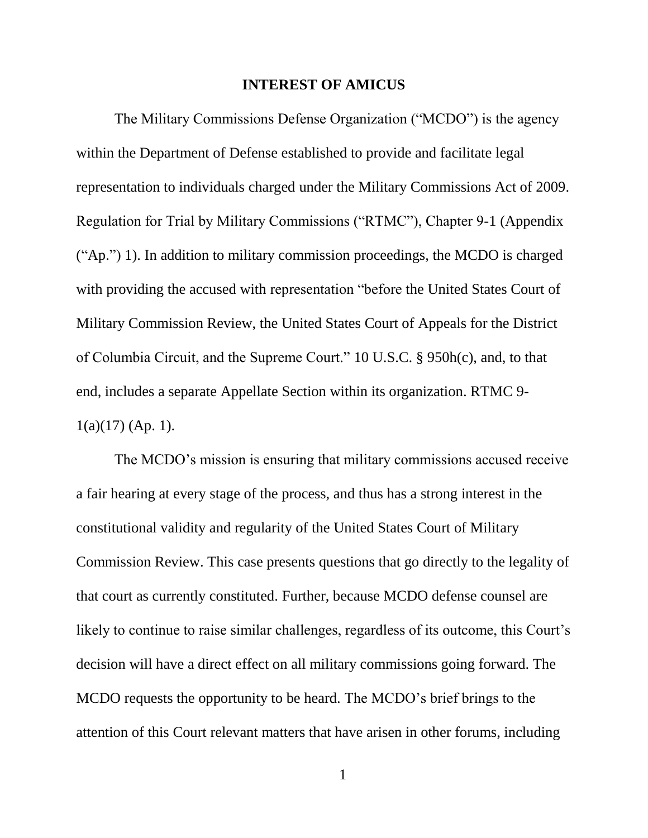#### **INTEREST OF AMICUS**

The Military Commissions Defense Organization ("MCDO") is the agency within the Department of Defense established to provide and facilitate legal representation to individuals charged under the Military Commissions Act of 2009. Regulation for Trial by Military Commissions ("RTMC"), Chapter 9-1 (Appendix ("Ap.") 1). In addition to military commission proceedings, the MCDO is charged with providing the accused with representation "before the United States Court of Military Commission Review, the United States Court of Appeals for the District of Columbia Circuit, and the Supreme Court." 10 U.S.C. § 950h(c), and, to that end, includes a separate Appellate Section within its organization. RTMC 9-  $1(a)(17)$  (Ap. 1).

The MCDO's mission is ensuring that military commissions accused receive a fair hearing at every stage of the process, and thus has a strong interest in the constitutional validity and regularity of the United States Court of Military Commission Review. This case presents questions that go directly to the legality of that court as currently constituted. Further, because MCDO defense counsel are likely to continue to raise similar challenges, regardless of its outcome, this Court's decision will have a direct effect on all military commissions going forward. The MCDO requests the opportunity to be heard. The MCDO's brief brings to the attention of this Court relevant matters that have arisen in other forums, including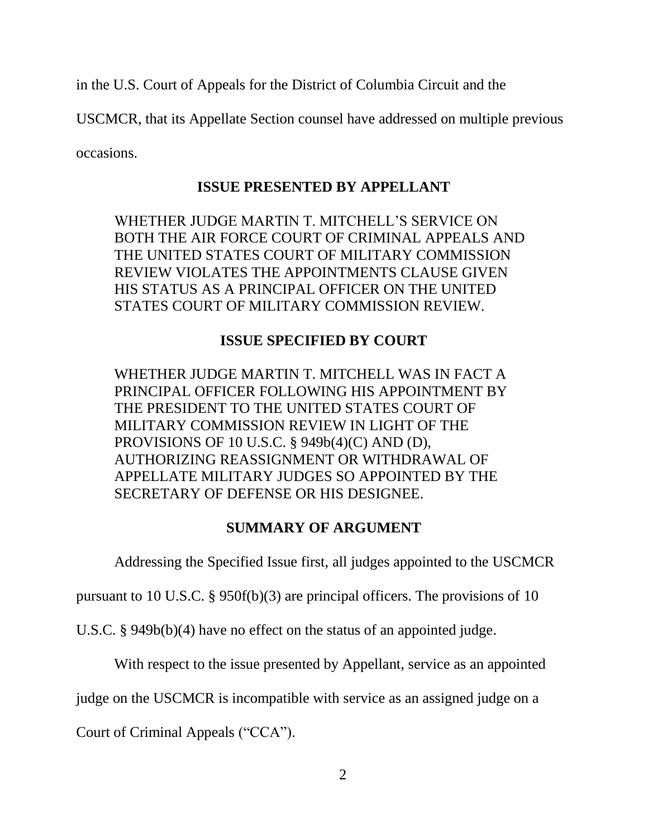in the U.S. Court of Appeals for the District of Columbia Circuit and the

USCMCR, that its Appellate Section counsel have addressed on multiple previous

occasions.

### **ISSUE PRESENTED BY APPELLANT**

WHETHER JUDGE MARTIN T. MITCHELL'S SERVICE ON BOTH THE AIR FORCE COURT OF CRIMINAL APPEALS AND THE UNITED STATES COURT OF MILITARY COMMISSION REVIEW VIOLATES THE APPOINTMENTS CLAUSE GIVEN HIS STATUS AS A PRINCIPAL OFFICER ON THE UNITED STATES COURT OF MILITARY COMMISSION REVIEW.

## **ISSUE SPECIFIED BY COURT**

WHETHER JUDGE MARTIN T. MITCHELL WAS IN FACT A PRINCIPAL OFFICER FOLLOWING HIS APPOINTMENT BY THE PRESIDENT TO THE UNITED STATES COURT OF MILITARY COMMISSION REVIEW IN LIGHT OF THE PROVISIONS OF 10 U.S.C. § 949b(4)(C) AND (D), AUTHORIZING REASSIGNMENT OR WITHDRAWAL OF APPELLATE MILITARY JUDGES SO APPOINTED BY THE SECRETARY OF DEFENSE OR HIS DESIGNEE.

## **SUMMARY OF ARGUMENT**

Addressing the Specified Issue first, all judges appointed to the USCMCR

pursuant to 10 U.S.C. § 950f(b)(3) are principal officers. The provisions of 10

U.S.C. § 949b(b)(4) have no effect on the status of an appointed judge.

With respect to the issue presented by Appellant, service as an appointed

judge on the USCMCR is incompatible with service as an assigned judge on a

Court of Criminal Appeals ("CCA").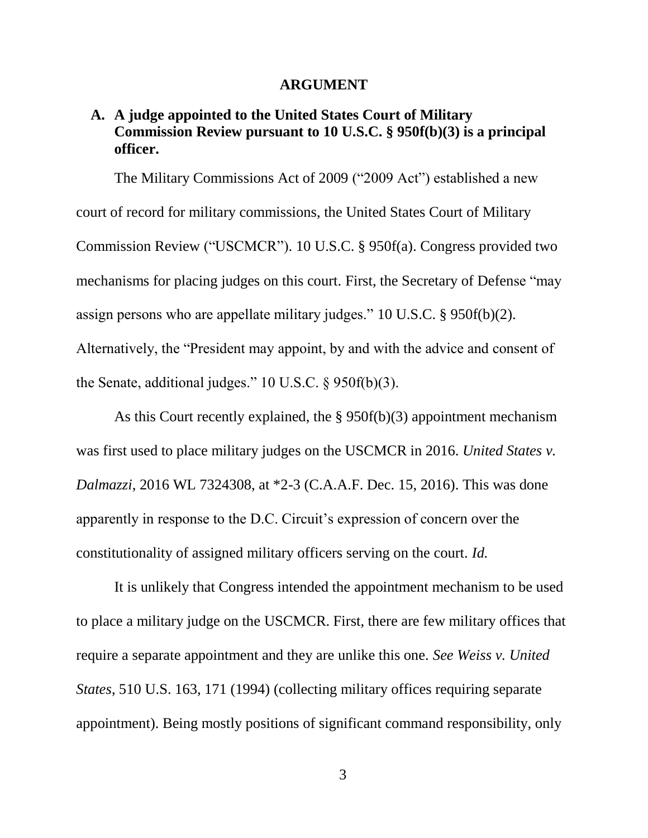#### **ARGUMENT**

### **A. A judge appointed to the United States Court of Military Commission Review pursuant to 10 U.S.C. § 950f(b)(3) is a principal officer.**

The Military Commissions Act of 2009 ("2009 Act") established a new court of record for military commissions, the United States Court of Military Commission Review ("USCMCR"). 10 U.S.C. § 950f(a). Congress provided two mechanisms for placing judges on this court. First, the Secretary of Defense "may assign persons who are appellate military judges." 10 U.S.C. § 950f(b)(2). Alternatively, the "President may appoint, by and with the advice and consent of the Senate, additional judges." 10 U.S.C. § 950f(b)(3).

As this Court recently explained, the § 950f(b)(3) appointment mechanism was first used to place military judges on the USCMCR in 2016. *United States v. Dalmazzi*, 2016 WL 7324308, at \*2-3 (C.A.A.F. Dec. 15, 2016). This was done apparently in response to the D.C. Circuit's expression of concern over the constitutionality of assigned military officers serving on the court. *Id.*

It is unlikely that Congress intended the appointment mechanism to be used to place a military judge on the USCMCR. First, there are few military offices that require a separate appointment and they are unlike this one. *See Weiss v. United States*, 510 U.S. 163, 171 (1994) (collecting military offices requiring separate appointment). Being mostly positions of significant command responsibility, only

3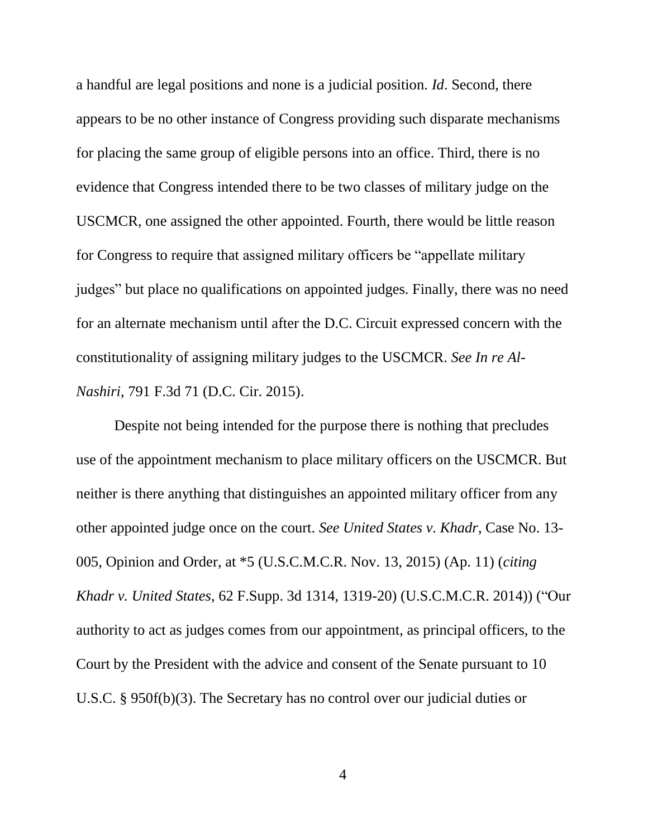a handful are legal positions and none is a judicial position. *Id*. Second, there appears to be no other instance of Congress providing such disparate mechanisms for placing the same group of eligible persons into an office. Third, there is no evidence that Congress intended there to be two classes of military judge on the USCMCR, one assigned the other appointed. Fourth, there would be little reason for Congress to require that assigned military officers be "appellate military judges" but place no qualifications on appointed judges. Finally, there was no need for an alternate mechanism until after the D.C. Circuit expressed concern with the constitutionality of assigning military judges to the USCMCR. *See In re Al-Nashiri*, 791 F.3d 71 (D.C. Cir. 2015).

Despite not being intended for the purpose there is nothing that precludes use of the appointment mechanism to place military officers on the USCMCR. But neither is there anything that distinguishes an appointed military officer from any other appointed judge once on the court. *See United States v. Khadr*, Case No. 13- 005, Opinion and Order, at \*5 (U.S.C.M.C.R. Nov. 13, 2015) (Ap. 11) (*citing Khadr v. United States*, 62 F.Supp. 3d 1314, 1319-20) (U.S.C.M.C.R. 2014)) ("Our authority to act as judges comes from our appointment, as principal officers, to the Court by the President with the advice and consent of the Senate pursuant to 10 U.S.C. § 950f(b)(3). The Secretary has no control over our judicial duties or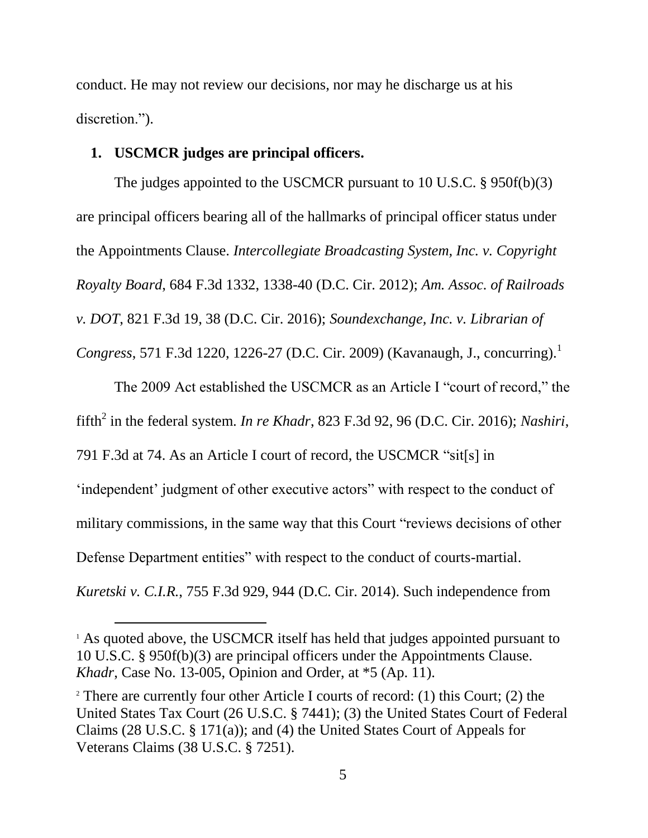conduct. He may not review our decisions, nor may he discharge us at his discretion.").

#### **1. USCMCR judges are principal officers.**

l

The judges appointed to the USCMCR pursuant to 10 U.S.C. § 950f(b)(3) are principal officers bearing all of the hallmarks of principal officer status under the Appointments Clause. *Intercollegiate Broadcasting System, Inc. v. Copyright Royalty Board*, 684 F.3d 1332, 1338-40 (D.C. Cir. 2012); *Am. Assoc. of Railroads v. DOT*, 821 F.3d 19, 38 (D.C. Cir. 2016); *Soundexchange, Inc. v. Librarian of Congress*, 571 F.3d 1220, 1226-27 (D.C. Cir. 2009) (Kavanaugh, J., concurring).<sup>1</sup>

The 2009 Act established the USCMCR as an Article I "court of record," the fifth<sup>2</sup> in the federal system. *In re Khadr*, 823 F.3d 92, 96 (D.C. Cir. 2016); *Nashiri*, 791 F.3d at 74. As an Article I court of record, the USCMCR "sit[s] in 'independent' judgment of other executive actors" with respect to the conduct of military commissions, in the same way that this Court "reviews decisions of other Defense Department entities" with respect to the conduct of courts-martial. *Kuretski v. C.I.R.*, 755 F.3d 929, 944 (D.C. Cir. 2014). Such independence from

<sup>&</sup>lt;sup>1</sup> As quoted above, the USCMCR itself has held that judges appointed pursuant to 10 U.S.C. § 950f(b)(3) are principal officers under the Appointments Clause. *Khadr*, Case No. 13-005, Opinion and Order, at \*5 (Ap. 11).

<sup>&</sup>lt;sup>2</sup> There are currently four other Article I courts of record: (1) this Court; (2) the United States Tax Court (26 U.S.C. § 7441); (3) the United States Court of Federal Claims (28 U.S.C. § 171(a)); and (4) the United States Court of Appeals for Veterans Claims (38 U.S.C. § 7251).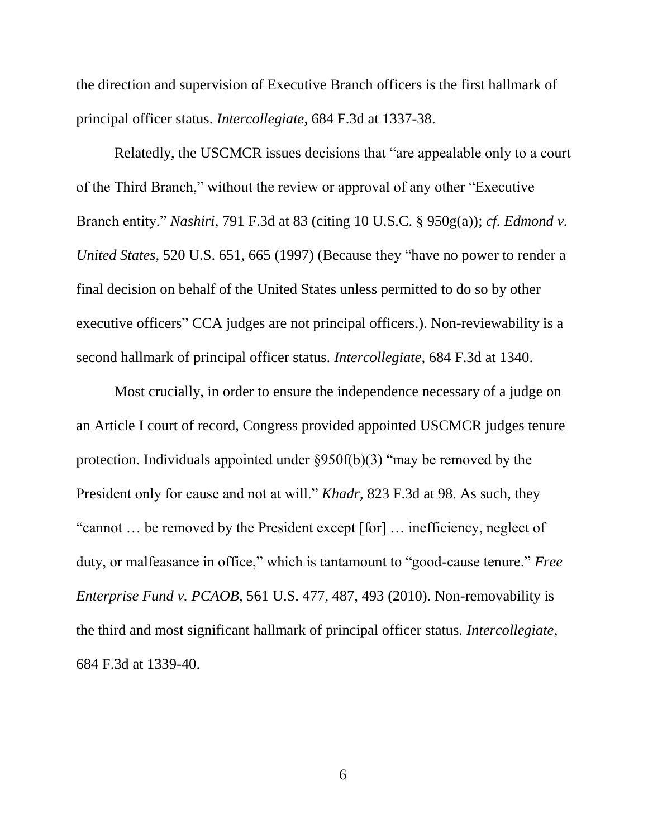the direction and supervision of Executive Branch officers is the first hallmark of principal officer status. *Intercollegiate*, 684 F.3d at 1337-38.

Relatedly, the USCMCR issues decisions that "are appealable only to a court of the Third Branch," without the review or approval of any other "Executive Branch entity." *Nashiri*, 791 F.3d at 83 (citing 10 U.S.C. § 950g(a)); *cf. Edmond v. United States*, 520 U.S. 651, 665 (1997) (Because they "have no power to render a final decision on behalf of the United States unless permitted to do so by other executive officers" CCA judges are not principal officers.). Non-reviewability is a second hallmark of principal officer status. *Intercollegiate*, 684 F.3d at 1340.

Most crucially, in order to ensure the independence necessary of a judge on an Article I court of record, Congress provided appointed USCMCR judges tenure protection. Individuals appointed under §950f(b)(3) "may be removed by the President only for cause and not at will." *Khadr*, 823 F.3d at 98. As such, they "cannot … be removed by the President except [for] … inefficiency, neglect of duty, or malfeasance in office," which is tantamount to "good-cause tenure." *Free Enterprise Fund v. PCAOB*, 561 U.S. 477, 487, 493 (2010). Non-removability is the third and most significant hallmark of principal officer status. *Intercollegiate*, 684 F.3d at 1339-40.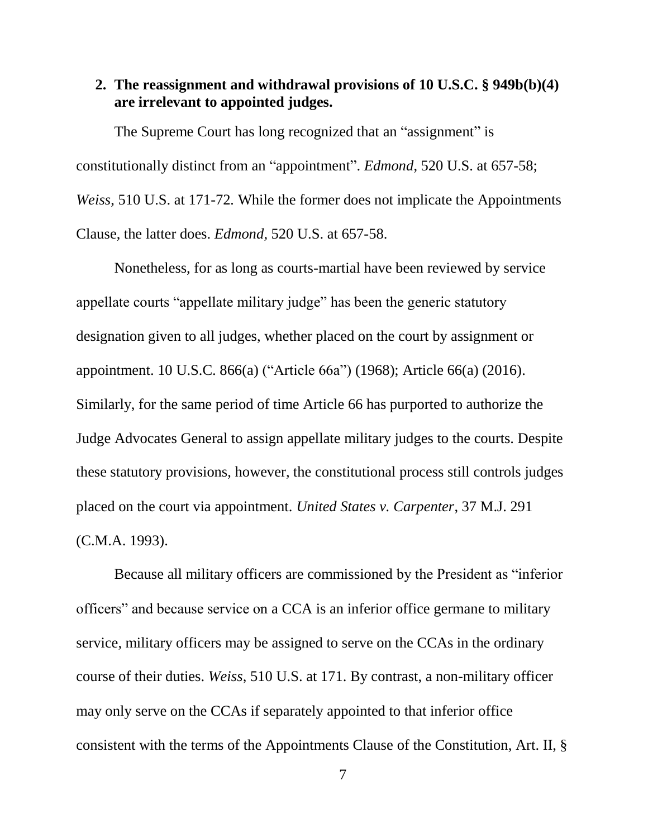#### **2. The reassignment and withdrawal provisions of 10 U.S.C. § 949b(b)(4) are irrelevant to appointed judges.**

The Supreme Court has long recognized that an "assignment" is constitutionally distinct from an "appointment". *Edmond*, 520 U.S. at 657-58; *Weiss*, 510 U.S. at 171-72*.* While the former does not implicate the Appointments Clause, the latter does. *Edmond*, 520 U.S. at 657-58.

Nonetheless, for as long as courts-martial have been reviewed by service appellate courts "appellate military judge" has been the generic statutory designation given to all judges, whether placed on the court by assignment or appointment. 10 U.S.C. 866(a) ("Article 66a") (1968); Article 66(a) (2016). Similarly, for the same period of time Article 66 has purported to authorize the Judge Advocates General to assign appellate military judges to the courts. Despite these statutory provisions, however, the constitutional process still controls judges placed on the court via appointment. *United States v. Carpenter*, 37 M.J. 291 (C.M.A. 1993).

Because all military officers are commissioned by the President as "inferior officers" and because service on a CCA is an inferior office germane to military service, military officers may be assigned to serve on the CCAs in the ordinary course of their duties. *Weiss*, 510 U.S. at 171. By contrast, a non-military officer may only serve on the CCAs if separately appointed to that inferior office consistent with the terms of the Appointments Clause of the Constitution, Art. II, §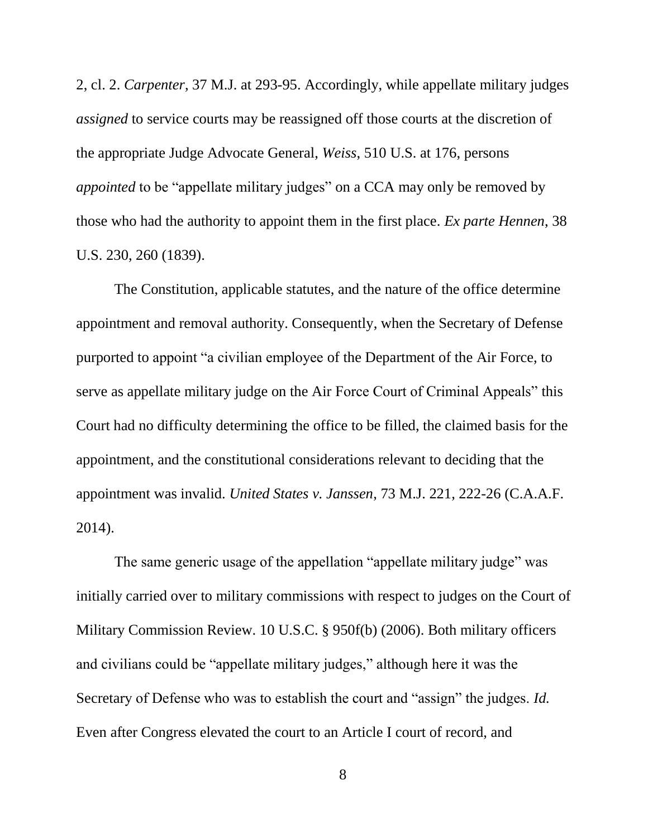2, cl. 2. *Carpenter*, 37 M.J. at 293-95. Accordingly, while appellate military judges *assigned* to service courts may be reassigned off those courts at the discretion of the appropriate Judge Advocate General, *Weiss*, 510 U.S. at 176, persons *appointed* to be "appellate military judges" on a CCA may only be removed by those who had the authority to appoint them in the first place. *Ex parte Hennen*, 38 U.S. 230, 260 (1839).

The Constitution, applicable statutes, and the nature of the office determine appointment and removal authority. Consequently, when the Secretary of Defense purported to appoint "a civilian employee of the Department of the Air Force, to serve as appellate military judge on the Air Force Court of Criminal Appeals" this Court had no difficulty determining the office to be filled, the claimed basis for the appointment, and the constitutional considerations relevant to deciding that the appointment was invalid. *United States v. Janssen*, 73 M.J. 221, 222-26 (C.A.A.F. 2014).

The same generic usage of the appellation "appellate military judge" was initially carried over to military commissions with respect to judges on the Court of Military Commission Review. 10 U.S.C. § 950f(b) (2006). Both military officers and civilians could be "appellate military judges," although here it was the Secretary of Defense who was to establish the court and "assign" the judges. *Id.* Even after Congress elevated the court to an Article I court of record, and

8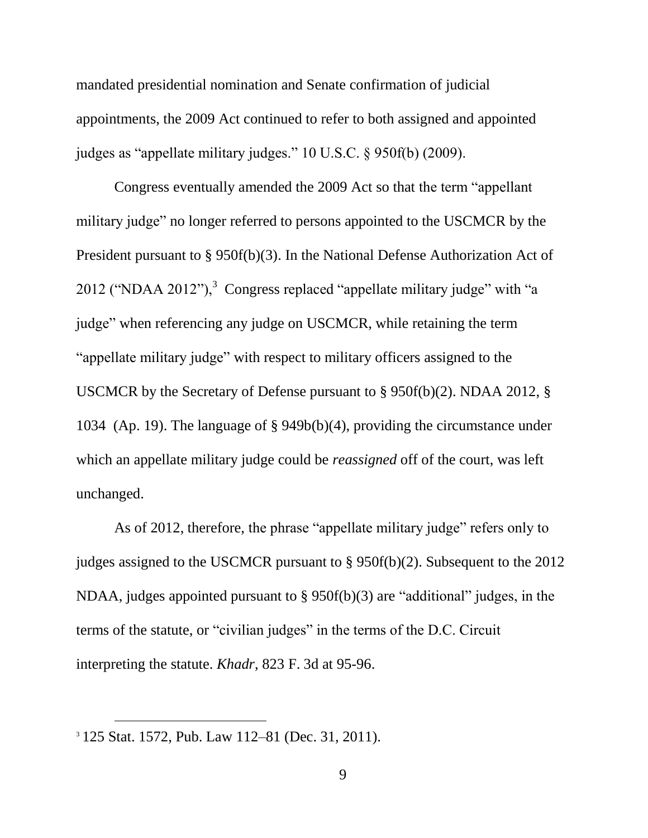mandated presidential nomination and Senate confirmation of judicial appointments, the 2009 Act continued to refer to both assigned and appointed judges as "appellate military judges." 10 U.S.C. § 950f(b) (2009).

Congress eventually amended the 2009 Act so that the term "appellant military judge" no longer referred to persons appointed to the USCMCR by the President pursuant to § 950f(b)(3). In the National Defense Authorization Act of 2012 ("NDAA 2012"), $3$  Congress replaced "appellate military judge" with "a judge" when referencing any judge on USCMCR, while retaining the term "appellate military judge" with respect to military officers assigned to the USCMCR by the Secretary of Defense pursuant to § 950f(b)(2). NDAA 2012, § 1034 (Ap. 19). The language of § 949b(b)(4), providing the circumstance under which an appellate military judge could be *reassigned* off of the court, was left unchanged.

As of 2012, therefore, the phrase "appellate military judge" refers only to judges assigned to the USCMCR pursuant to § 950f(b)(2). Subsequent to the 2012 NDAA, judges appointed pursuant to § 950f(b)(3) are "additional" judges, in the terms of the statute, or "civilian judges" in the terms of the D.C. Circuit interpreting the statute. *Khadr*, 823 F. 3d at 95-96.

 $\overline{a}$ 

<sup>3</sup> 125 Stat. 1572, Pub. Law 112–81 (Dec. 31, 2011).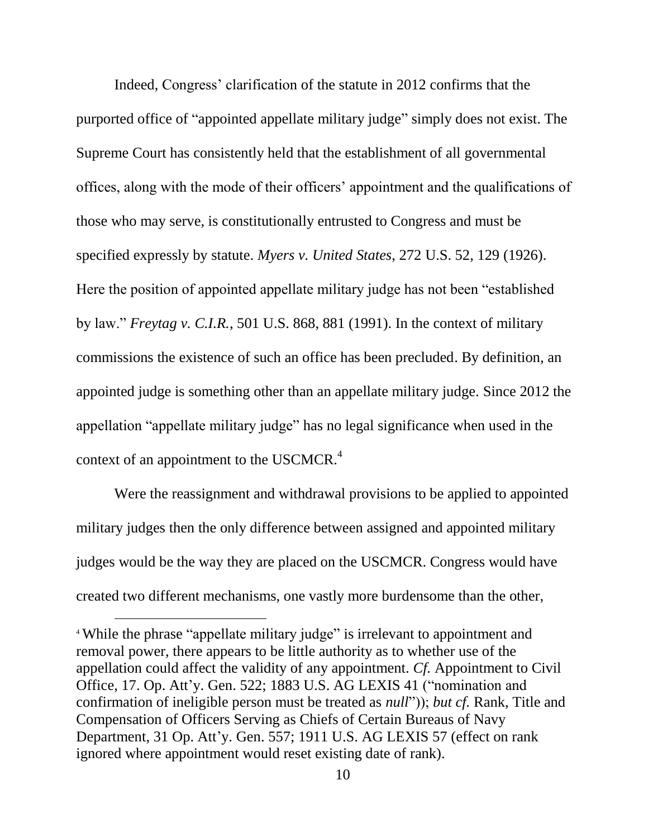Indeed, Congress' clarification of the statute in 2012 confirms that the purported office of "appointed appellate military judge" simply does not exist. The Supreme Court has consistently held that the establishment of all governmental offices, along with the mode of their officers' appointment and the qualifications of those who may serve, is constitutionally entrusted to Congress and must be specified expressly by statute. *Myers v. United States*, 272 U.S. 52, 129 (1926). Here the position of appointed appellate military judge has not been "established by law." *Freytag v. C.I.R.*, 501 U.S. 868, 881 (1991). In the context of military commissions the existence of such an office has been precluded. By definition, an appointed judge is something other than an appellate military judge. Since 2012 the appellation "appellate military judge" has no legal significance when used in the context of an appointment to the USCMCR.<sup>4</sup>

Were the reassignment and withdrawal provisions to be applied to appointed military judges then the only difference between assigned and appointed military judges would be the way they are placed on the USCMCR. Congress would have created two different mechanisms, one vastly more burdensome than the other,

l

<sup>&</sup>lt;sup>4</sup> While the phrase "appellate military judge" is irrelevant to appointment and removal power, there appears to be little authority as to whether use of the appellation could affect the validity of any appointment. *Cf.* Appointment to Civil Office, 17. Op. Att'y. Gen. 522; 1883 U.S. AG LEXIS 41 ("nomination and confirmation of ineligible person must be treated as *null*")); *but cf.* Rank, Title and Compensation of Officers Serving as Chiefs of Certain Bureaus of Navy Department, 31 Op. Att'y. Gen. 557; 1911 U.S. AG LEXIS 57 (effect on rank ignored where appointment would reset existing date of rank).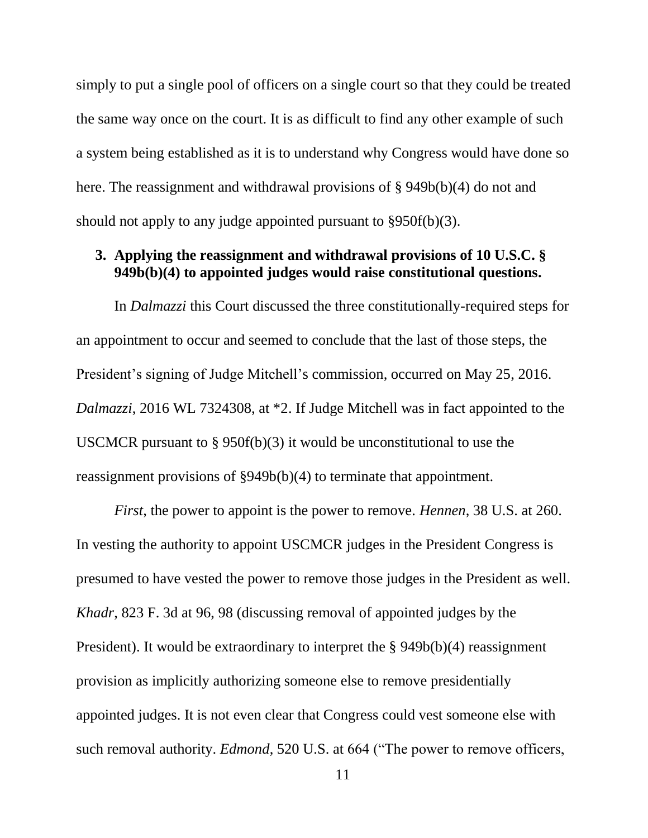simply to put a single pool of officers on a single court so that they could be treated the same way once on the court. It is as difficult to find any other example of such a system being established as it is to understand why Congress would have done so here. The reassignment and withdrawal provisions of § 949b(b)(4) do not and should not apply to any judge appointed pursuant to §950f(b)(3).

#### **3. Applying the reassignment and withdrawal provisions of 10 U.S.C. § 949b(b)(4) to appointed judges would raise constitutional questions.**

In *Dalmazzi* this Court discussed the three constitutionally-required steps for an appointment to occur and seemed to conclude that the last of those steps, the President's signing of Judge Mitchell's commission, occurred on May 25, 2016. *Dalmazzi*, 2016 WL 7324308, at \*2. If Judge Mitchell was in fact appointed to the USCMCR pursuant to § 950f(b)(3) it would be unconstitutional to use the reassignment provisions of §949b(b)(4) to terminate that appointment.

*First*, the power to appoint is the power to remove. *Hennen*, 38 U.S. at 260. In vesting the authority to appoint USCMCR judges in the President Congress is presumed to have vested the power to remove those judges in the President as well. *Khadr*, 823 F. 3d at 96, 98 (discussing removal of appointed judges by the President). It would be extraordinary to interpret the § 949b(b)(4) reassignment provision as implicitly authorizing someone else to remove presidentially appointed judges. It is not even clear that Congress could vest someone else with such removal authority. *Edmond*, 520 U.S. at 664 ("The power to remove officers,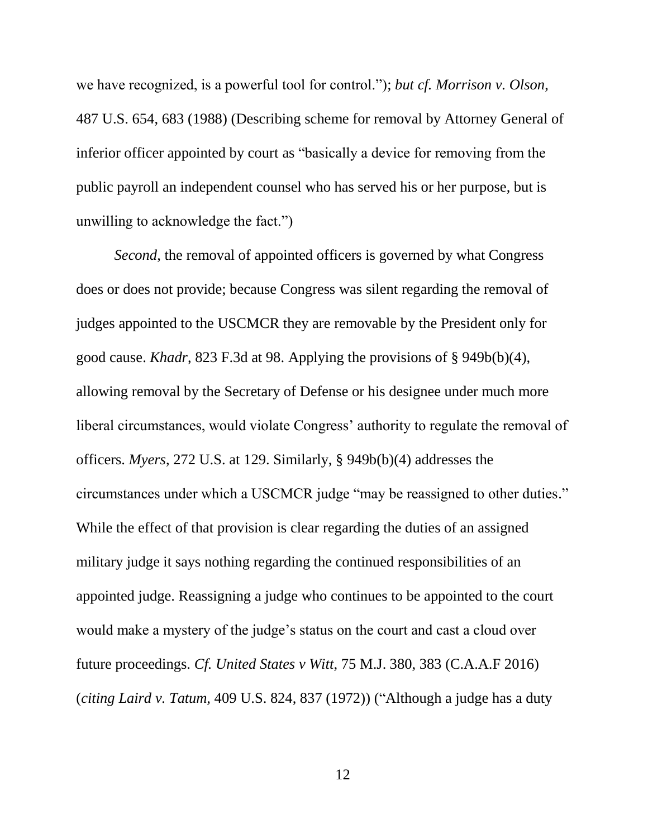we have recognized, is a powerful tool for control."); *but cf. Morrison v. Olson*, 487 U.S. 654, 683 (1988) (Describing scheme for removal by Attorney General of inferior officer appointed by court as "basically a device for removing from the public payroll an independent counsel who has served his or her purpose, but is unwilling to acknowledge the fact.")

*Second*, the removal of appointed officers is governed by what Congress does or does not provide; because Congress was silent regarding the removal of judges appointed to the USCMCR they are removable by the President only for good cause. *Khadr*, 823 F.3d at 98. Applying the provisions of § 949b(b)(4), allowing removal by the Secretary of Defense or his designee under much more liberal circumstances, would violate Congress' authority to regulate the removal of officers. *Myers*, 272 U.S. at 129. Similarly, § 949b(b)(4) addresses the circumstances under which a USCMCR judge "may be reassigned to other duties." While the effect of that provision is clear regarding the duties of an assigned military judge it says nothing regarding the continued responsibilities of an appointed judge. Reassigning a judge who continues to be appointed to the court would make a mystery of the judge's status on the court and cast a cloud over future proceedings. *Cf. United States v Witt*, 75 M.J. 380, 383 (C.A.A.F 2016) (*citing Laird v. Tatum,* 409 U.S. 824, 837 (1972)) ("Although a judge has a duty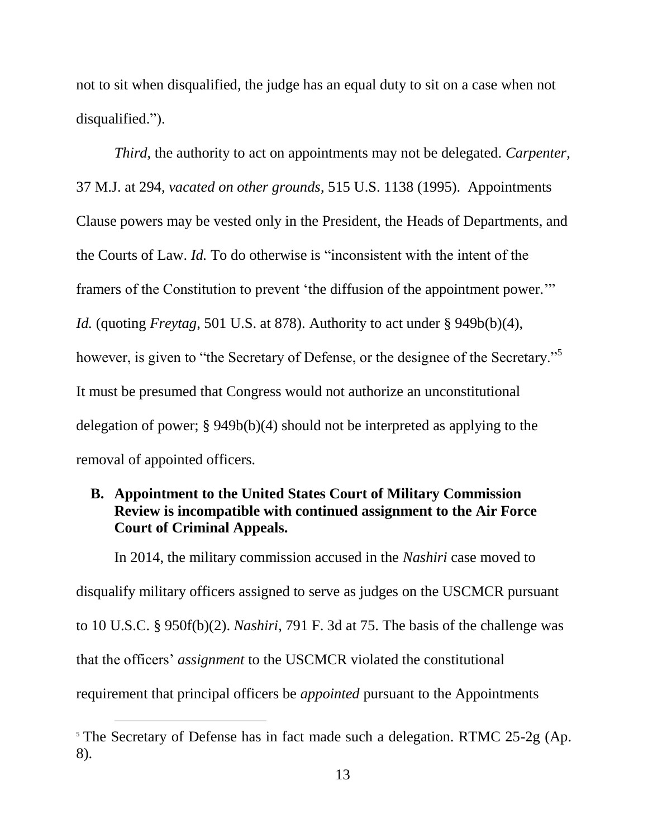not to sit when disqualified, the judge has an equal duty to sit on a case when not disqualified.").

*Third*, the authority to act on appointments may not be delegated. *Carpenter*, 37 M.J. at 294, *vacated on other grounds*, 515 U.S. 1138 (1995). Appointments Clause powers may be vested only in the President, the Heads of Departments, and the Courts of Law. *Id.* To do otherwise is "inconsistent with the intent of the framers of the Constitution to prevent 'the diffusion of the appointment power.'" *Id.* (quoting *Freytag*, 501 U.S. at 878). Authority to act under § 949b(b)(4), however, is given to "the Secretary of Defense, or the designee of the Secretary."<sup>5</sup> It must be presumed that Congress would not authorize an unconstitutional delegation of power; § 949b(b)(4) should not be interpreted as applying to the removal of appointed officers*.*

### **B. Appointment to the United States Court of Military Commission Review is incompatible with continued assignment to the Air Force Court of Criminal Appeals.**

In 2014, the military commission accused in the *Nashiri* case moved to disqualify military officers assigned to serve as judges on the USCMCR pursuant to 10 U.S.C. § 950f(b)(2). *Nashiri*, 791 F. 3d at 75. The basis of the challenge was that the officers' *assignment* to the USCMCR violated the constitutional requirement that principal officers be *appointed* pursuant to the Appointments

 $\overline{a}$ 

<sup>&</sup>lt;sup>5</sup> The Secretary of Defense has in fact made such a delegation. RTMC 25-2g (Ap. 8).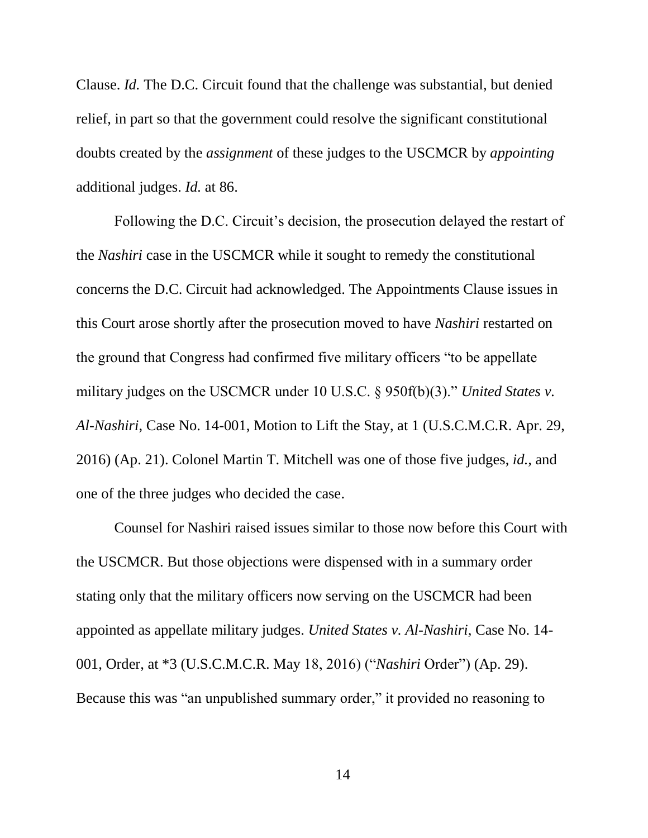Clause. *Id.* The D.C. Circuit found that the challenge was substantial, but denied relief, in part so that the government could resolve the significant constitutional doubts created by the *assignment* of these judges to the USCMCR by *appointing* additional judges. *Id.* at 86.

Following the D.C. Circuit's decision, the prosecution delayed the restart of the *Nashiri* case in the USCMCR while it sought to remedy the constitutional concerns the D.C. Circuit had acknowledged. The Appointments Clause issues in this Court arose shortly after the prosecution moved to have *Nashiri* restarted on the ground that Congress had confirmed five military officers "to be appellate military judges on the USCMCR under 10 U.S.C. § 950f(b)(3)." *United States v. Al-Nashiri*, Case No. 14-001, Motion to Lift the Stay, at 1 (U.S.C.M.C.R. Apr. 29, 2016) (Ap. 21). Colonel Martin T. Mitchell was one of those five judges, *id.,* and one of the three judges who decided the case.

Counsel for Nashiri raised issues similar to those now before this Court with the USCMCR. But those objections were dispensed with in a summary order stating only that the military officers now serving on the USCMCR had been appointed as appellate military judges. *United States v. Al-Nashiri*, Case No. 14- 001, Order, at \*3 (U.S.C.M.C.R. May 18, 2016) ("*Nashiri* Order") (Ap. 29). Because this was "an unpublished summary order," it provided no reasoning to

14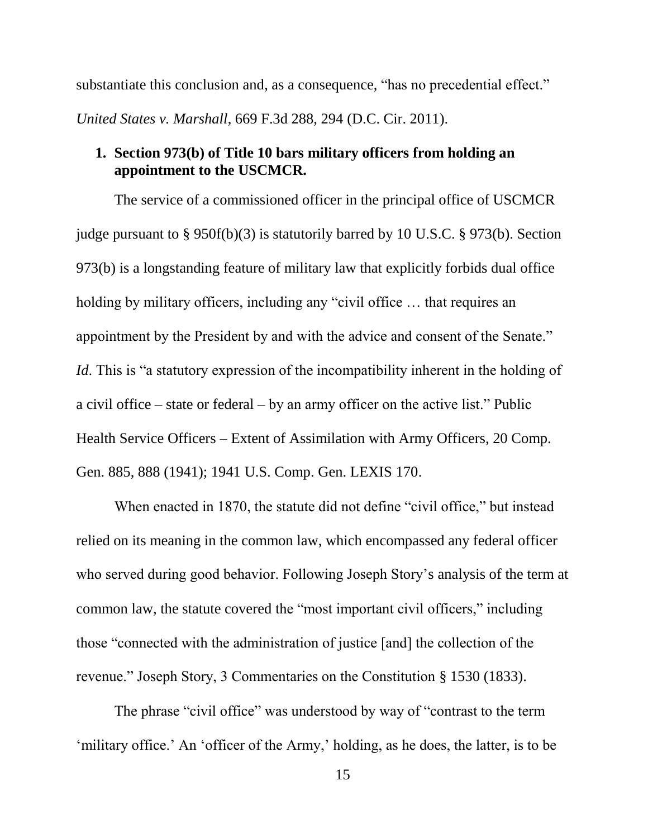substantiate this conclusion and, as a consequence, "has no precedential effect." *United States v. Marshall*, 669 F.3d 288, 294 (D.C. Cir. 2011).

### **1. Section 973(b) of Title 10 bars military officers from holding an appointment to the USCMCR.**

The service of a commissioned officer in the principal office of USCMCR judge pursuant to § 950f(b)(3) is statutorily barred by 10 U.S.C. § 973(b). Section 973(b) is a longstanding feature of military law that explicitly forbids dual office holding by military officers, including any "civil office ... that requires an appointment by the President by and with the advice and consent of the Senate." *Id*. This is "a statutory expression of the incompatibility inherent in the holding of a civil office – state or federal – by an army officer on the active list." Public Health Service Officers – Extent of Assimilation with Army Officers, 20 Comp. Gen. 885, 888 (1941); 1941 U.S. Comp. Gen. LEXIS 170.

When enacted in 1870, the statute did not define "civil office," but instead relied on its meaning in the common law, which encompassed any federal officer who served during good behavior. Following Joseph Story's analysis of the term at common law, the statute covered the "most important civil officers," including those "connected with the administration of justice [and] the collection of the revenue." Joseph Story, 3 Commentaries on the Constitution § 1530 (1833).

The phrase "civil office" was understood by way of "contrast to the term 'military office.' An 'officer of the Army,' holding, as he does, the latter, is to be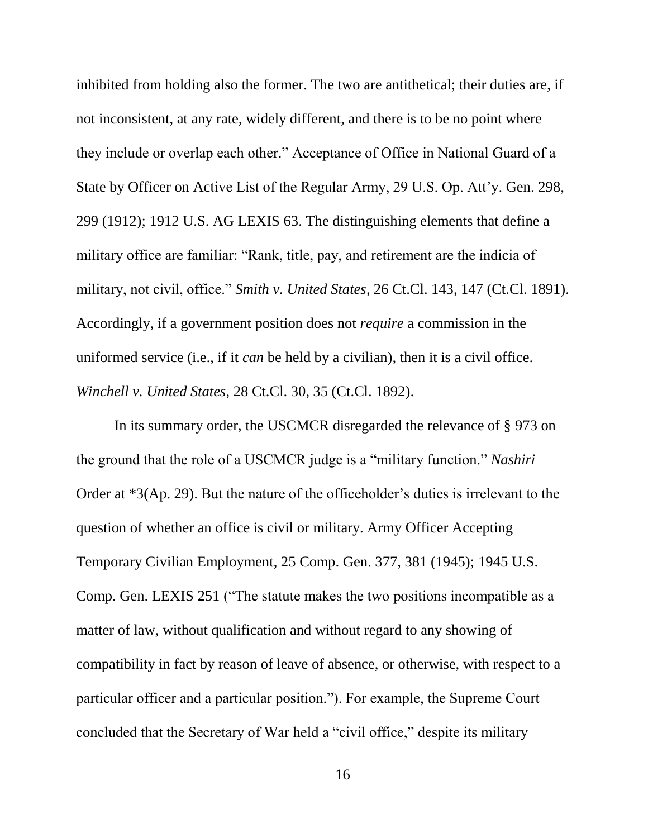inhibited from holding also the former. The two are antithetical; their duties are, if not inconsistent, at any rate, widely different, and there is to be no point where they include or overlap each other." Acceptance of Office in National Guard of a State by Officer on Active List of the Regular Army, 29 U.S. Op. Att'y. Gen. 298, 299 (1912); 1912 U.S. AG LEXIS 63. The distinguishing elements that define a military office are familiar: "Rank, title, pay, and retirement are the indicia of military, not civil, office." *Smith v. United States*, 26 Ct.Cl. 143, 147 (Ct.Cl. 1891). Accordingly, if a government position does not *require* a commission in the uniformed service (i.e., if it *can* be held by a civilian), then it is a civil office. *Winchell v. United States*, 28 Ct.Cl. 30, 35 (Ct.Cl. 1892).

In its summary order, the USCMCR disregarded the relevance of § 973 on the ground that the role of a USCMCR judge is a "military function." *Nashiri* Order at \*3(Ap. 29). But the nature of the officeholder's duties is irrelevant to the question of whether an office is civil or military. Army Officer Accepting Temporary Civilian Employment, 25 Comp. Gen. 377, 381 (1945); 1945 U.S. Comp. Gen. LEXIS 251 ("The statute makes the two positions incompatible as a matter of law, without qualification and without regard to any showing of compatibility in fact by reason of leave of absence, or otherwise, with respect to a particular officer and a particular position."). For example, the Supreme Court concluded that the Secretary of War held a "civil office," despite its military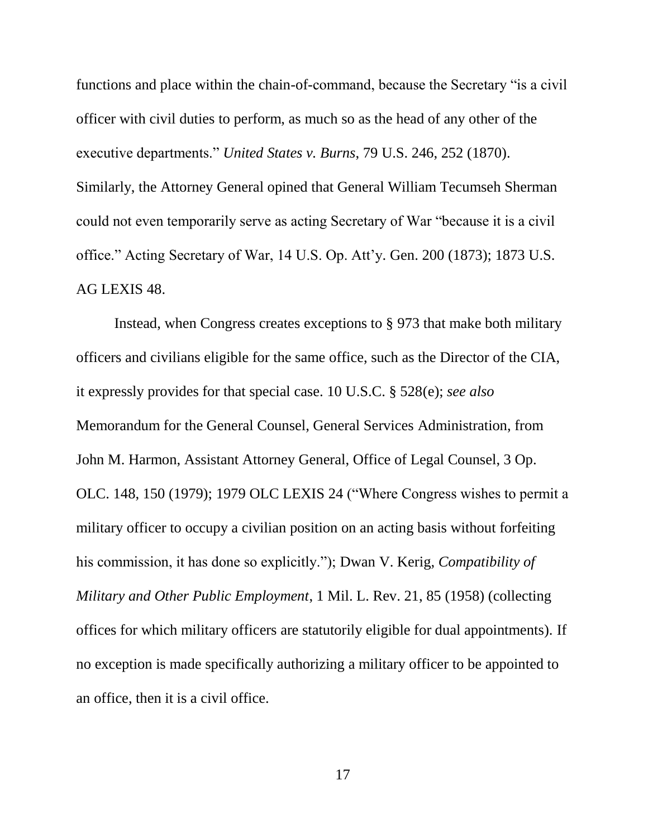functions and place within the chain-of-command, because the Secretary "is a civil officer with civil duties to perform, as much so as the head of any other of the executive departments." *United States v. Burns*, 79 U.S. 246, 252 (1870). Similarly, the Attorney General opined that General William Tecumseh Sherman could not even temporarily serve as acting Secretary of War "because it is a civil office." Acting Secretary of War, 14 U.S. Op. Att'y. Gen. 200 (1873); 1873 U.S. AG LEXIS 48.

Instead, when Congress creates exceptions to § 973 that make both military officers and civilians eligible for the same office, such as the Director of the CIA, it expressly provides for that special case. 10 U.S.C. § 528(e); *see also* Memorandum for the General Counsel, General Services Administration, from John M. Harmon, Assistant Attorney General, Office of Legal Counsel, 3 Op. OLC. 148, 150 (1979); 1979 OLC LEXIS 24 ("Where Congress wishes to permit a military officer to occupy a civilian position on an acting basis without forfeiting his commission, it has done so explicitly."); Dwan V. Kerig, *Compatibility of Military and Other Public Employment*, 1 Mil. L. Rev. 21, 85 (1958) (collecting offices for which military officers are statutorily eligible for dual appointments). If no exception is made specifically authorizing a military officer to be appointed to an office, then it is a civil office.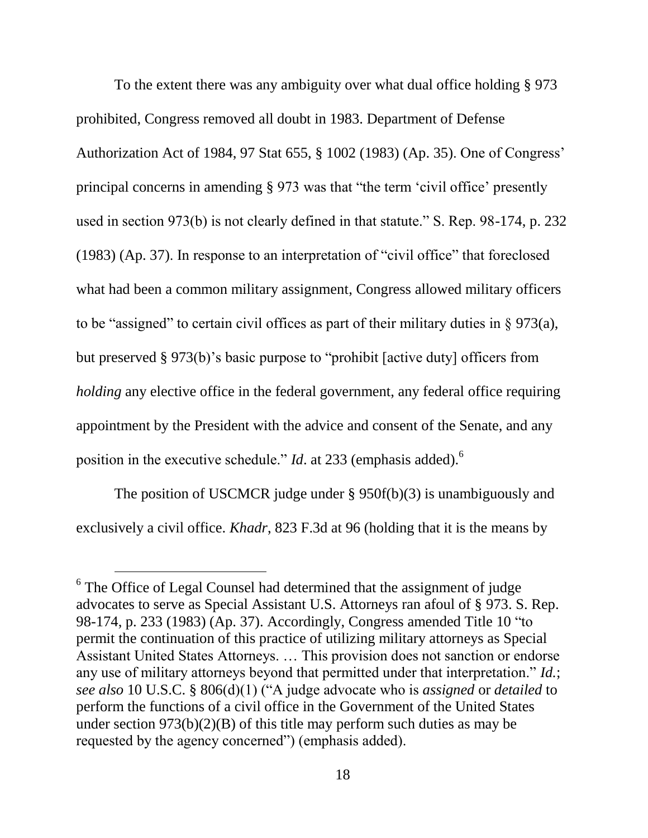To the extent there was any ambiguity over what dual office holding § 973 prohibited, Congress removed all doubt in 1983. Department of Defense Authorization Act of 1984, 97 Stat 655, § 1002 (1983) (Ap. 35). One of Congress' principal concerns in amending § 973 was that "the term 'civil office' presently used in section 973(b) is not clearly defined in that statute." S. Rep. 98-174, p. 232 (1983) (Ap. 37). In response to an interpretation of "civil office" that foreclosed what had been a common military assignment, Congress allowed military officers to be "assigned" to certain civil offices as part of their military duties in § 973(a), but preserved § 973(b)'s basic purpose to "prohibit [active duty] officers from *holding* any elective office in the federal government, any federal office requiring appointment by the President with the advice and consent of the Senate, and any position in the executive schedule." *Id*. at 233 (emphasis added).<sup>6</sup>

The position of USCMCR judge under § 950f(b)(3) is unambiguously and exclusively a civil office. *Khadr*, 823 F.3d at 96 (holding that it is the means by

l

 $6$  The Office of Legal Counsel had determined that the assignment of judge advocates to serve as Special Assistant U.S. Attorneys ran afoul of § 973. S. Rep. 98-174, p. 233 (1983) (Ap. 37). Accordingly, Congress amended Title 10 "to permit the continuation of this practice of utilizing military attorneys as Special Assistant United States Attorneys. … This provision does not sanction or endorse any use of military attorneys beyond that permitted under that interpretation." *Id.*; *see also* 10 U.S.C. § 806(d)(1) ("A judge advocate who is *assigned* or *detailed* to perform the functions of a civil office in the Government of the United States under section  $973(b)(2)(B)$  of this title may perform such duties as may be requested by the agency concerned") (emphasis added).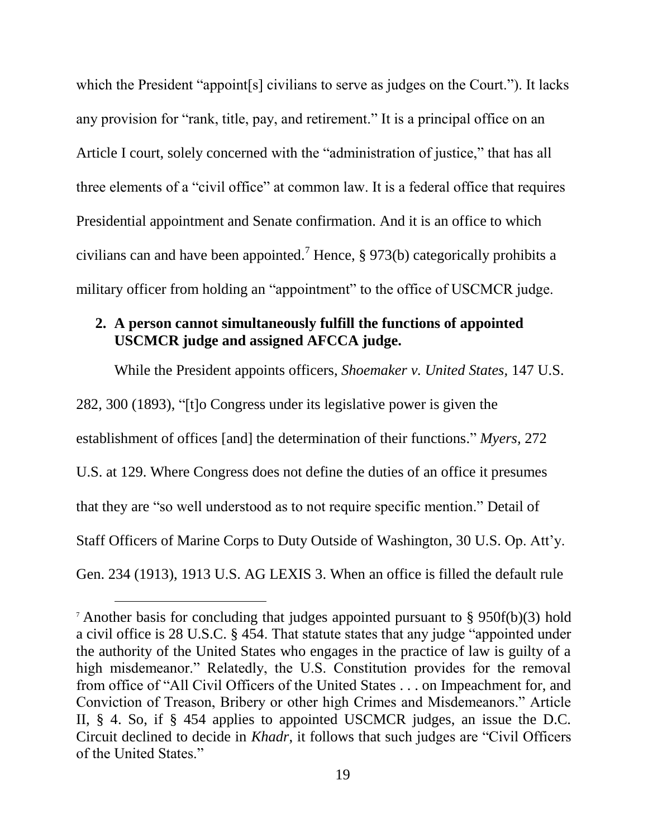which the President "appoint[s] civilians to serve as judges on the Court."). It lacks any provision for "rank, title, pay, and retirement." It is a principal office on an Article I court, solely concerned with the "administration of justice," that has all three elements of a "civil office" at common law. It is a federal office that requires Presidential appointment and Senate confirmation. And it is an office to which civilians can and have been appointed.<sup>7</sup> Hence, § 973(b) categorically prohibits a military officer from holding an "appointment" to the office of USCMCR judge.

#### **2. A person cannot simultaneously fulfill the functions of appointed USCMCR judge and assigned AFCCA judge.**

While the President appoints officers, *Shoemaker v. United States,* 147 U.S.

282, 300 (1893), "[t]o Congress under its legislative power is given the

 $\overline{a}$ 

establishment of offices [and] the determination of their functions." *Myers,* 272

U.S. at 129. Where Congress does not define the duties of an office it presumes

that they are "so well understood as to not require specific mention." Detail of

Staff Officers of Marine Corps to Duty Outside of Washington, 30 U.S. Op. Att'y.

Gen. 234 (1913), 1913 U.S. AG LEXIS 3. When an office is filled the default rule

<sup>&</sup>lt;sup>7</sup> Another basis for concluding that judges appointed pursuant to § 950f(b)(3) hold a civil office is 28 U.S.C. § 454. That statute states that any judge "appointed under the authority of the United States who engages in the practice of law is guilty of a high misdemeanor." Relatedly, the U.S. Constitution provides for the removal from office of "All Civil Officers of the United States . . . on Impeachment for, and Conviction of Treason, Bribery or other high Crimes and Misdemeanors." Article II, § 4. So, if § 454 applies to appointed USCMCR judges, an issue the D.C. Circuit declined to decide in *Khadr*, it follows that such judges are "Civil Officers of the United States."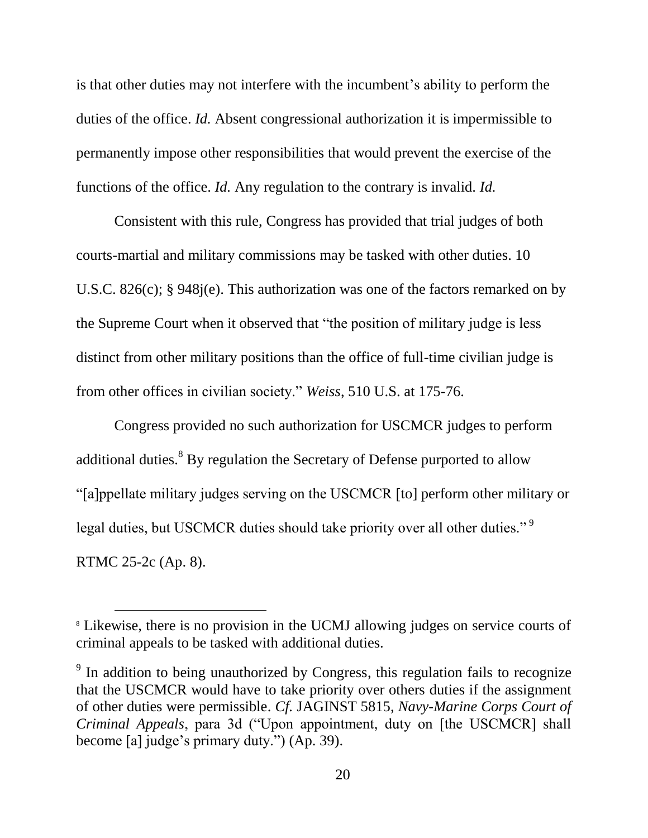is that other duties may not interfere with the incumbent's ability to perform the duties of the office. *Id.* Absent congressional authorization it is impermissible to permanently impose other responsibilities that would prevent the exercise of the functions of the office. *Id.* Any regulation to the contrary is invalid. *Id.*

Consistent with this rule, Congress has provided that trial judges of both courts-martial and military commissions may be tasked with other duties. 10 U.S.C. 826(c); § 948j(e). This authorization was one of the factors remarked on by the Supreme Court when it observed that "the position of military judge is less distinct from other military positions than the office of full-time civilian judge is from other offices in civilian society." *Weiss*, 510 U.S. at 175-76.

Congress provided no such authorization for USCMCR judges to perform additional duties.<sup>8</sup> By regulation the Secretary of Defense purported to allow "[a]ppellate military judges serving on the USCMCR [to] perform other military or legal duties, but USCMCR duties should take priority over all other duties."<sup>9</sup> RTMC 25-2c (Ap. 8).

l

<sup>8</sup> Likewise, there is no provision in the UCMJ allowing judges on service courts of criminal appeals to be tasked with additional duties.

<sup>&</sup>lt;sup>9</sup> In addition to being unauthorized by Congress, this regulation fails to recognize that the USCMCR would have to take priority over others duties if the assignment of other duties were permissible. *Cf.* JAGINST 5815, *Navy-Marine Corps Court of Criminal Appeals*, para 3d ("Upon appointment, duty on [the USCMCR] shall become [a] judge's primary duty.") (Ap. 39).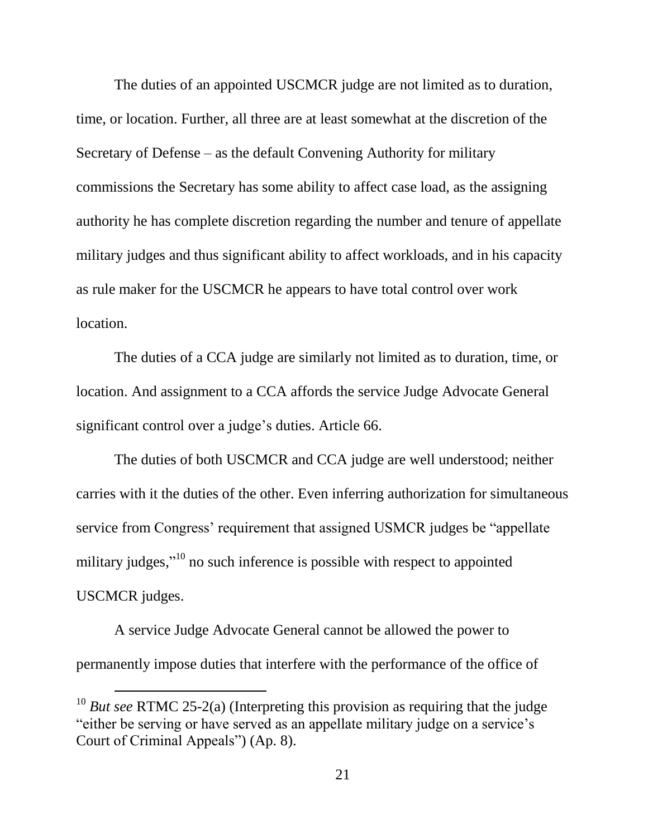The duties of an appointed USCMCR judge are not limited as to duration, time, or location. Further, all three are at least somewhat at the discretion of the Secretary of Defense – as the default Convening Authority for military commissions the Secretary has some ability to affect case load, as the assigning authority he has complete discretion regarding the number and tenure of appellate military judges and thus significant ability to affect workloads, and in his capacity as rule maker for the USCMCR he appears to have total control over work location.

The duties of a CCA judge are similarly not limited as to duration, time, or location. And assignment to a CCA affords the service Judge Advocate General significant control over a judge's duties. Article 66.

The duties of both USCMCR and CCA judge are well understood; neither carries with it the duties of the other. Even inferring authorization for simultaneous service from Congress' requirement that assigned USMCR judges be "appellate military judges,"<sup>10</sup> no such inference is possible with respect to appointed USCMCR judges.

A service Judge Advocate General cannot be allowed the power to permanently impose duties that interfere with the performance of the office of

 $\overline{a}$ 

<sup>10</sup> *But see* RTMC 25-2(a) (Interpreting this provision as requiring that the judge "either be serving or have served as an appellate military judge on a service's Court of Criminal Appeals") (Ap. 8).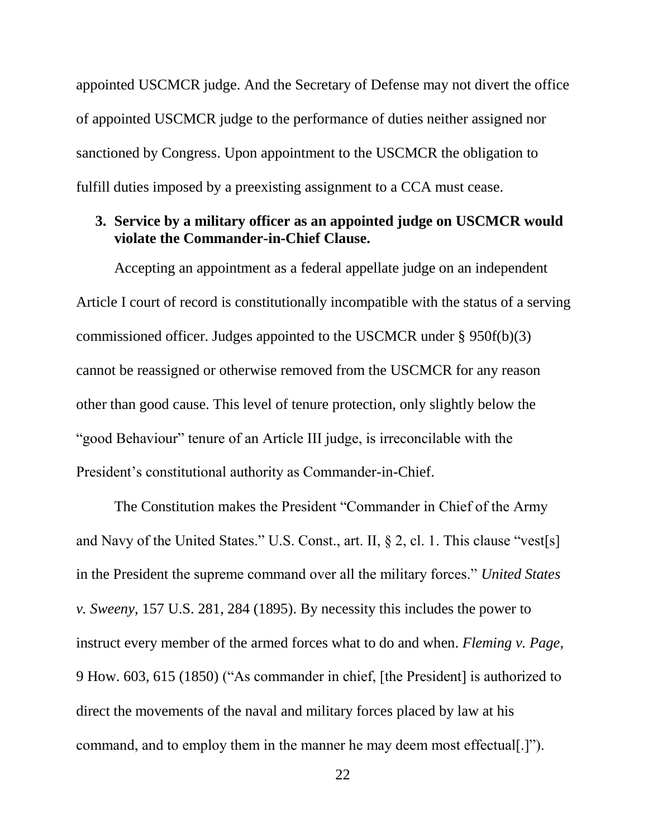appointed USCMCR judge. And the Secretary of Defense may not divert the office of appointed USCMCR judge to the performance of duties neither assigned nor sanctioned by Congress. Upon appointment to the USCMCR the obligation to fulfill duties imposed by a preexisting assignment to a CCA must cease.

#### **3. Service by a military officer as an appointed judge on USCMCR would violate the Commander-in-Chief Clause.**

Accepting an appointment as a federal appellate judge on an independent Article I court of record is constitutionally incompatible with the status of a serving commissioned officer. Judges appointed to the USCMCR under § 950f(b)(3) cannot be reassigned or otherwise removed from the USCMCR for any reason other than good cause. This level of tenure protection, only slightly below the "good Behaviour" tenure of an Article III judge, is irreconcilable with the President's constitutional authority as Commander-in-Chief.

The Constitution makes the President "Commander in Chief of the Army and Navy of the United States." U.S. Const., art. II, § 2, cl. 1. This clause "vest[s] in the President the supreme command over all the military forces." *United States v. Sweeny*, 157 U.S. 281, 284 (1895). By necessity this includes the power to instruct every member of the armed forces what to do and when. *Fleming v. Page*, 9 How. 603, 615 (1850) ("As commander in chief, [the President] is authorized to direct the movements of the naval and military forces placed by law at his command, and to employ them in the manner he may deem most effectual[.]").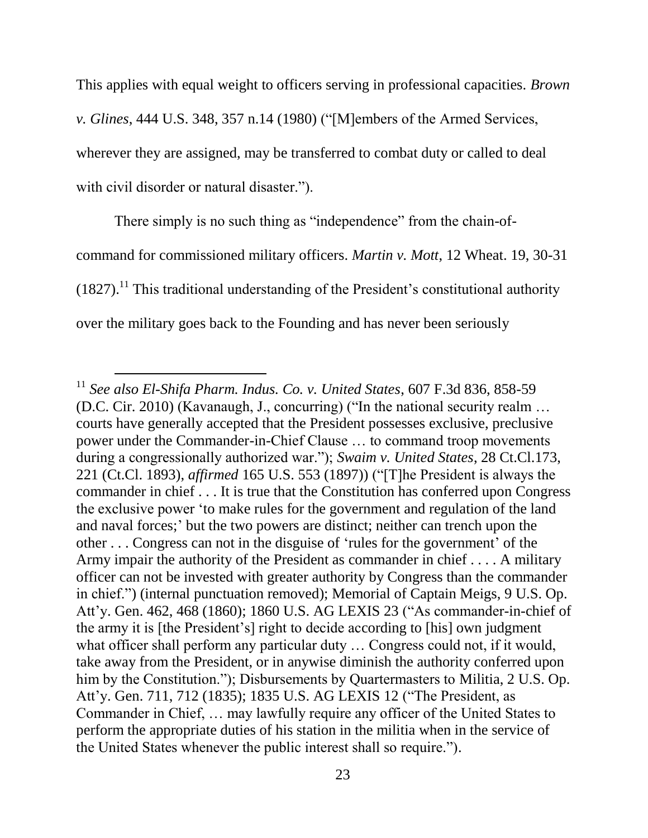This applies with equal weight to officers serving in professional capacities. *Brown v. Glines*, 444 U.S. 348, 357 n.14 (1980) ("[M]embers of the Armed Services, wherever they are assigned, may be transferred to combat duty or called to deal with civil disorder or natural disaster.").

There simply is no such thing as "independence" from the chain-ofcommand for commissioned military officers. *Martin v. Mott*, 12 Wheat. 19, 30-31  $(1827).$ <sup>11</sup> This traditional understanding of the President's constitutional authority over the military goes back to the Founding and has never been seriously

 $\overline{a}$ 

<sup>11</sup> *See also El-Shifa Pharm. Indus. Co. v. United States*, 607 F.3d 836, 858-59 (D.C. Cir. 2010) (Kavanaugh, J., concurring) ("In the national security realm … courts have generally accepted that the President possesses exclusive, preclusive power under the Commander-in-Chief Clause … to command troop movements during a congressionally authorized war."); *Swaim v. United States*, 28 Ct.Cl.173, 221 (Ct.Cl. 1893), *affirmed* 165 U.S. 553 (1897)) ("[T]he President is always the commander in chief . . . It is true that the Constitution has conferred upon Congress the exclusive power 'to make rules for the government and regulation of the land and naval forces;' but the two powers are distinct; neither can trench upon the other . . . Congress can not in the disguise of 'rules for the government' of the Army impair the authority of the President as commander in chief . . . . A military officer can not be invested with greater authority by Congress than the commander in chief.") (internal punctuation removed); Memorial of Captain Meigs, 9 U.S. Op. Att'y. Gen. 462, 468 (1860); 1860 U.S. AG LEXIS 23 ("As commander-in-chief of the army it is [the President's] right to decide according to [his] own judgment what officer shall perform any particular duty ... Congress could not, if it would, take away from the President, or in anywise diminish the authority conferred upon him by the Constitution."); Disbursements by Quartermasters to Militia, 2 U.S. Op. Att'y. Gen. 711, 712 (1835); 1835 U.S. AG LEXIS 12 ("The President, as Commander in Chief, … may lawfully require any officer of the United States to perform the appropriate duties of his station in the militia when in the service of the United States whenever the public interest shall so require.").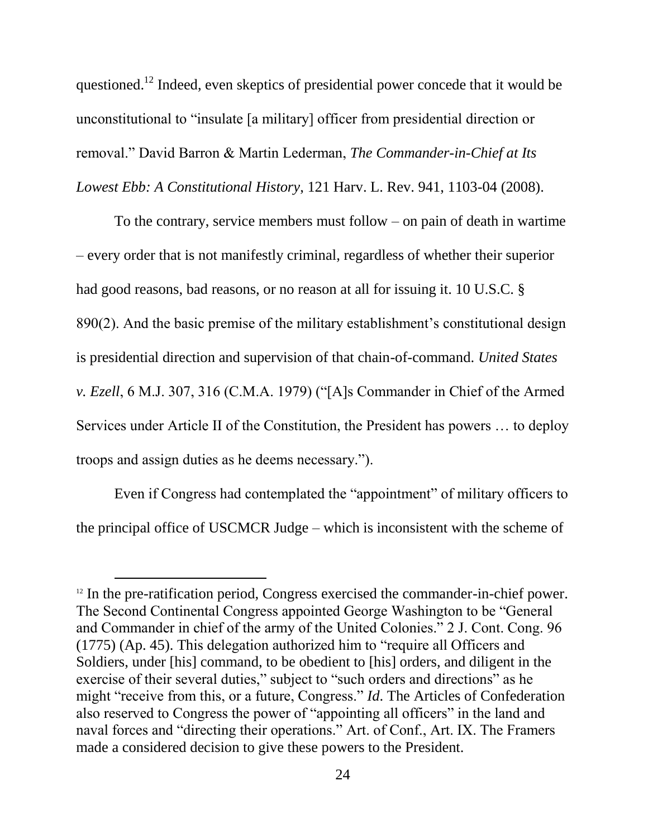questioned.<sup>12</sup> Indeed, even skeptics of presidential power concede that it would be unconstitutional to "insulate [a military] officer from presidential direction or removal." David Barron & Martin Lederman, *The Commander-in-Chief at Its Lowest Ebb: A Constitutional History*, 121 Harv. L. Rev. 941, 1103-04 (2008).

To the contrary, service members must follow – on pain of death in wartime – every order that is not manifestly criminal, regardless of whether their superior had good reasons, bad reasons, or no reason at all for issuing it. 10 U.S.C. § 890(2). And the basic premise of the military establishment's constitutional design is presidential direction and supervision of that chain-of-command. *United States v. Ezell*, 6 M.J. 307, 316 (C.M.A. 1979) ("[A]s Commander in Chief of the Armed Services under Article II of the Constitution, the President has powers … to deploy troops and assign duties as he deems necessary.").

Even if Congress had contemplated the "appointment" of military officers to the principal office of USCMCR Judge – which is inconsistent with the scheme of

l

 $12$  In the pre-ratification period, Congress exercised the commander-in-chief power. The Second Continental Congress appointed George Washington to be "General and Commander in chief of the army of the United Colonies." 2 J. Cont. Cong. 96 (1775) (Ap. 45). This delegation authorized him to "require all Officers and Soldiers, under [his] command, to be obedient to [his] orders, and diligent in the exercise of their several duties," subject to "such orders and directions" as he might "receive from this, or a future, Congress." *Id*. The Articles of Confederation also reserved to Congress the power of "appointing all officers" in the land and naval forces and "directing their operations." Art. of Conf., Art. IX. The Framers made a considered decision to give these powers to the President.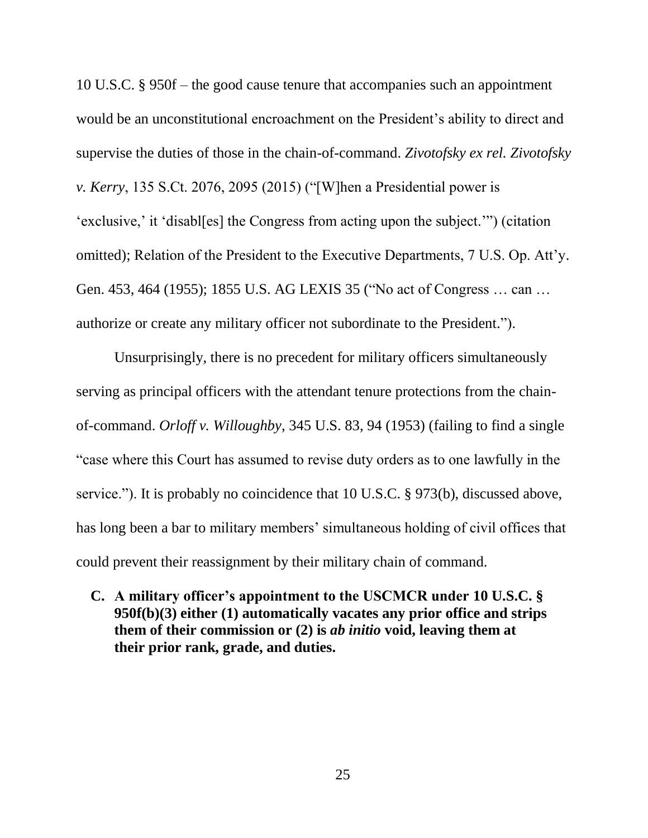10 U.S.C. § 950f – the good cause tenure that accompanies such an appointment would be an unconstitutional encroachment on the President's ability to direct and supervise the duties of those in the chain-of-command. *Zivotofsky ex rel. Zivotofsky v. Kerry*, 135 S.Ct. 2076, 2095 (2015) ("[W]hen a Presidential power is 'exclusive,' it 'disabl[es] the Congress from acting upon the subject.'") (citation omitted); Relation of the President to the Executive Departments, 7 U.S. Op. Att'y. Gen. 453, 464 (1955); 1855 U.S. AG LEXIS 35 ("No act of Congress … can … authorize or create any military officer not subordinate to the President.").

Unsurprisingly, there is no precedent for military officers simultaneously serving as principal officers with the attendant tenure protections from the chainof-command. *Orloff v. Willoughby*, 345 U.S. 83, 94 (1953) (failing to find a single "case where this Court has assumed to revise duty orders as to one lawfully in the service."). It is probably no coincidence that 10 U.S.C. § 973(b), discussed above, has long been a bar to military members' simultaneous holding of civil offices that could prevent their reassignment by their military chain of command.

**C. A military officer's appointment to the USCMCR under 10 U.S.C. § 950f(b)(3) either (1) automatically vacates any prior office and strips them of their commission or (2) is** *ab initio* **void, leaving them at their prior rank, grade, and duties.**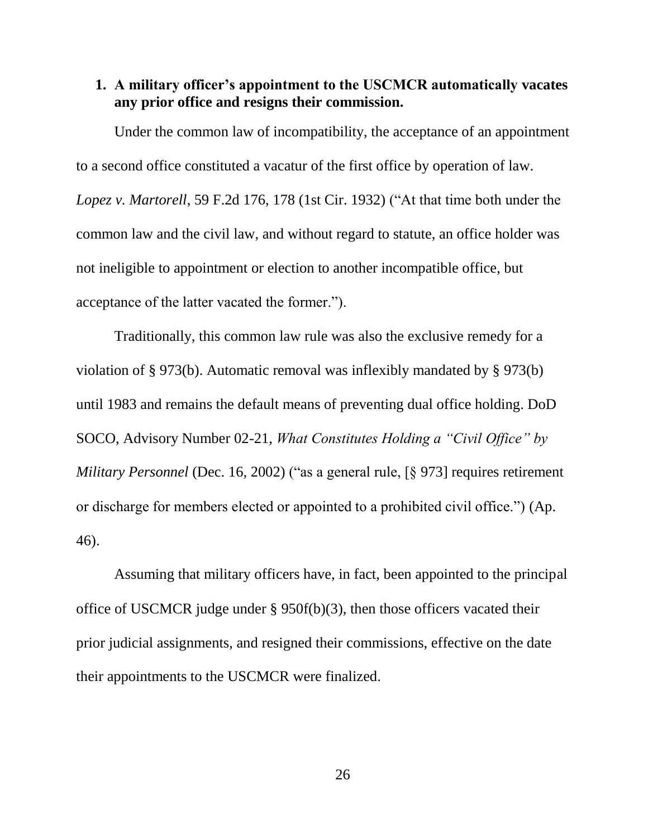#### **1. A military officer's appointment to the USCMCR automatically vacates any prior office and resigns their commission.**

Under the common law of incompatibility, the acceptance of an appointment to a second office constituted a vacatur of the first office by operation of law. *Lopez v. Martorell*, 59 F.2d 176, 178 (1st Cir. 1932) ("At that time both under the common law and the civil law, and without regard to statute, an office holder was not ineligible to appointment or election to another incompatible office, but acceptance of the latter vacated the former.").

Traditionally, this common law rule was also the exclusive remedy for a violation of § 973(b). Automatic removal was inflexibly mandated by § 973(b) until 1983 and remains the default means of preventing dual office holding. DoD SOCO, Advisory Number 02-21, *What Constitutes Holding a "Civil Office" by Military Personnel* (Dec. 16, 2002) ("as a general rule, [§ 973] requires retirement or discharge for members elected or appointed to a prohibited civil office.") (Ap. 46).

Assuming that military officers have, in fact, been appointed to the principal office of USCMCR judge under § 950f(b)(3), then those officers vacated their prior judicial assignments, and resigned their commissions, effective on the date their appointments to the USCMCR were finalized.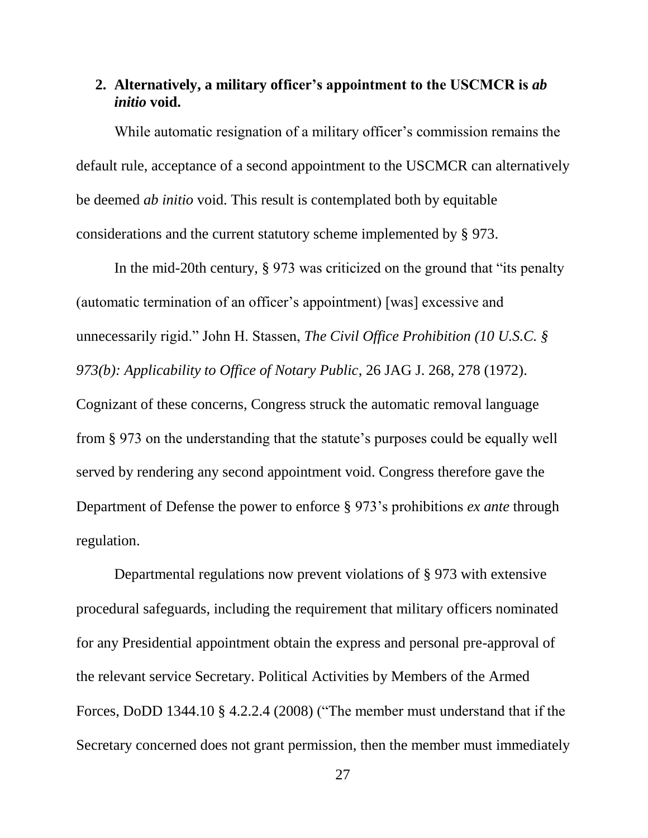### **2. Alternatively, a military officer's appointment to the USCMCR is** *ab initio* **void.**

While automatic resignation of a military officer's commission remains the default rule, acceptance of a second appointment to the USCMCR can alternatively be deemed *ab initio* void. This result is contemplated both by equitable considerations and the current statutory scheme implemented by § 973.

In the mid-20th century, § 973 was criticized on the ground that "its penalty (automatic termination of an officer's appointment) [was] excessive and unnecessarily rigid." John H. Stassen, *The Civil Office Prohibition (10 U.S.C. § 973(b): Applicability to Office of Notary Public*, 26 JAG J. 268, 278 (1972). Cognizant of these concerns, Congress struck the automatic removal language from § 973 on the understanding that the statute's purposes could be equally well served by rendering any second appointment void. Congress therefore gave the Department of Defense the power to enforce § 973's prohibitions *ex ante* through regulation.

Departmental regulations now prevent violations of § 973 with extensive procedural safeguards, including the requirement that military officers nominated for any Presidential appointment obtain the express and personal pre-approval of the relevant service Secretary. Political Activities by Members of the Armed Forces, DoDD 1344.10 § 4.2.2.4 (2008) ("The member must understand that if the Secretary concerned does not grant permission, then the member must immediately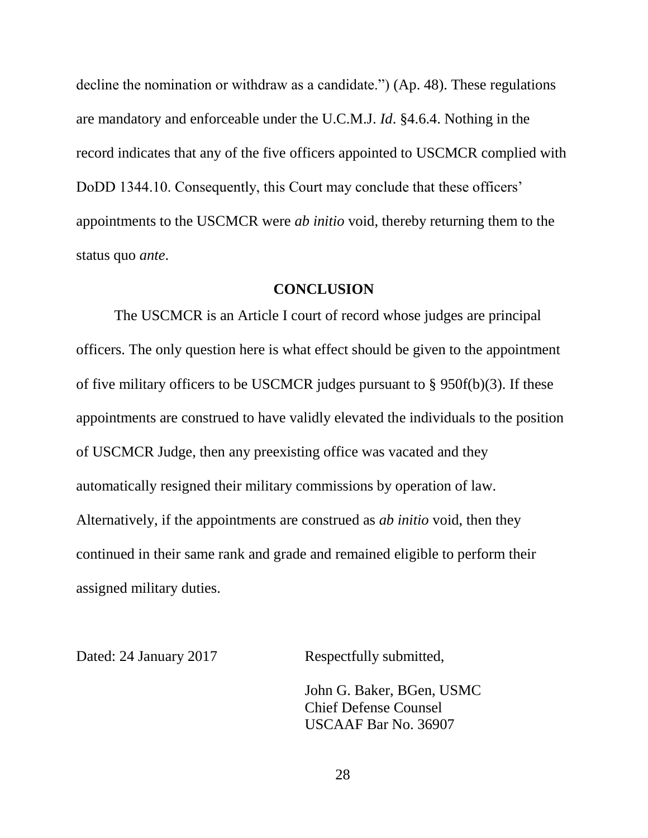decline the nomination or withdraw as a candidate.") (Ap. 48). These regulations are mandatory and enforceable under the U.C.M.J. *Id*. §4.6.4. Nothing in the record indicates that any of the five officers appointed to USCMCR complied with DoDD 1344.10. Consequently, this Court may conclude that these officers' appointments to the USCMCR were *ab initio* void, thereby returning them to the status quo *ante*.

#### **CONCLUSION**

The USCMCR is an Article I court of record whose judges are principal officers. The only question here is what effect should be given to the appointment of five military officers to be USCMCR judges pursuant to § 950f(b)(3). If these appointments are construed to have validly elevated the individuals to the position of USCMCR Judge, then any preexisting office was vacated and they automatically resigned their military commissions by operation of law. Alternatively, if the appointments are construed as *ab initio* void, then they continued in their same rank and grade and remained eligible to perform their assigned military duties.

Dated: 24 January 2017 Respectfully submitted,

John G. Baker, BGen, USMC Chief Defense Counsel USCAAF Bar No. 36907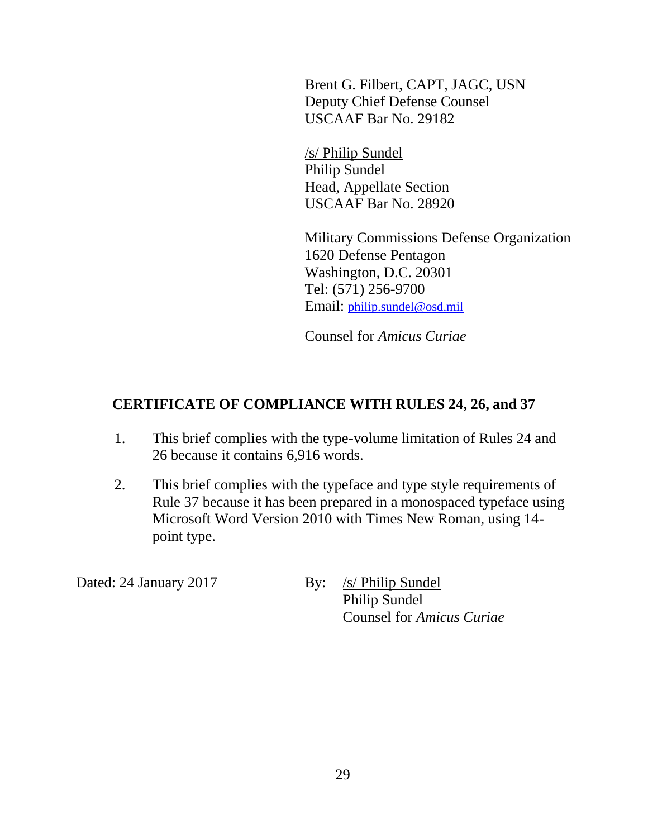Brent G. Filbert, CAPT, JAGC, USN Deputy Chief Defense Counsel USCAAF Bar No. 29182

/s/ Philip Sundel Philip Sundel Head, Appellate Section USCAAF Bar No. 28920

Military Commissions Defense Organization 1620 Defense Pentagon Washington, D.C. 20301 Tel: (571) 256-9700 Email: [philip.sundel@osd.mil](mailto:john.baker@osd.mil)

Counsel for *Amicus Curiae*

## **CERTIFICATE OF COMPLIANCE WITH RULES 24, 26, and 37**

- 1. This brief complies with the type-volume limitation of Rules 24 and 26 because it contains 6,916 words.
- 2. This brief complies with the typeface and type style requirements of Rule 37 because it has been prepared in a monospaced typeface using Microsoft Word Version 2010 with Times New Roman, using 14 point type.

Dated: 24 January 2017 By: /s/ Philip Sundel

Philip Sundel Counsel for *Amicus Curiae*